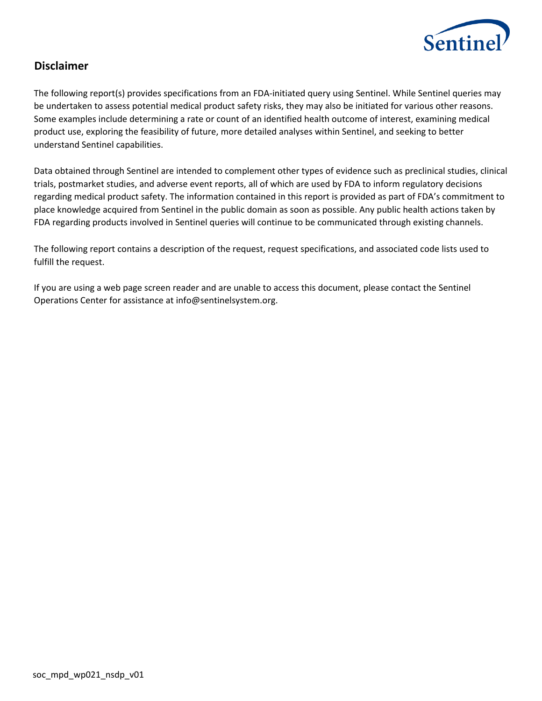

# **Disclaimer**

The following report(s) provides specifications from an FDA-initiated query using Sentinel. While Sentinel queries may be undertaken to assess potential medical product safety risks, they may also be initiated for various other reasons. Some examples include determining a rate or count of an identified health outcome of interest, examining medical product use, exploring the feasibility of future, more detailed analyses within Sentinel, and seeking to better understand Sentinel capabilities.

Data obtained through Sentinel are intended to complement other types of evidence such as preclinical studies, clinical trials, postmarket studies, and adverse event reports, all of which are used by FDA to inform regulatory decisions regarding medical product safety. The information contained in this report is provided as part of FDA's commitment to place knowledge acquired from Sentinel in the public domain as soon as possible. Any public health actions taken by FDA regarding products involved in Sentinel queries will continue to be communicated through existing channels.

The following report contains a description of the request, request specifications, and associated code lists used to fulfill the request.

If you are using a web page screen reader and are unable to access this document, please contact the Sentinel Operations Center for assistance at info@sentinelsystem.org.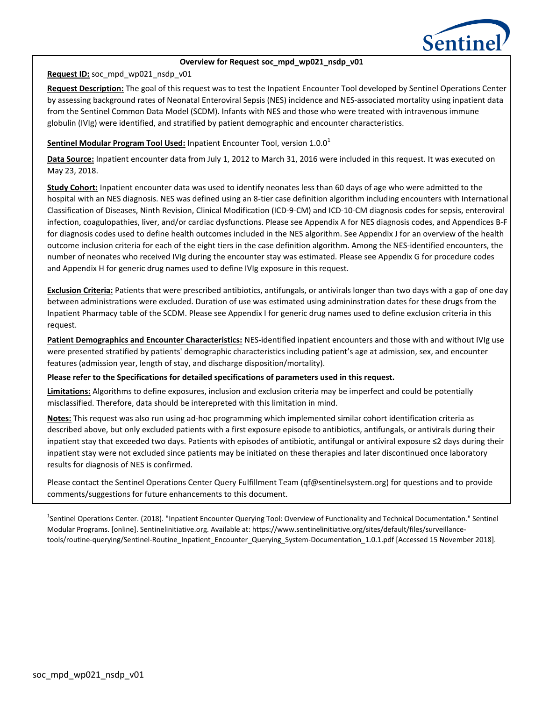

#### **Overview for Request soc\_mpd\_wp021\_nsdp\_v01**

### **Request ID:** soc\_mpd\_wp021\_nsdp\_v01

**Request Description:** The goal of this request was to test the Inpatient Encounter Tool developed by Sentinel Operations Center by assessing background rates of Neonatal Enteroviral Sepsis (NES) incidence and NES-associated mortality using inpatient data from the Sentinel Common Data Model (SCDM). Infants with NES and those who were treated with intravenous immune globulin (IVIg) were identified, and stratified by patient demographic and encounter characteristics.

### **Sentinel Modular Program Tool Used:** Inpatient Encounter Tool, version 1.0.0<sup>1</sup>

**Data Source:** Inpatient encounter data from July 1, 2012 to March 31, 2016 were included in this request. It was executed on May 23, 2018.

**Study Cohort:** Inpatient encounter data was used to identify neonates less than 60 days of age who were admitted to the hospital with an NES diagnosis. NES was defined using an 8-tier case definition algorithm including encounters with International Classification of Diseases, Ninth Revision, Clinical Modification (ICD-9-CM) and ICD-10-CM diagnosis codes for sepsis, enteroviral infection, coagulopathies, liver, and/or cardiac dysfunctions. Please see Appendix A for NES diagnosis codes, and Appendices B-F for diagnosis codes used to define health outcomes included in the NES algorithm. See Appendix J for an overview of the health outcome inclusion criteria for each of the eight tiers in the case definition algorithm. Among the NES-identified encounters, the number of neonates who received IVIg during the encounter stay was estimated. Please see Appendix G for procedure codes and Appendix H for generic drug names used to define IVIg exposure in this request.

**Exclusion Criteria:** Patients that were prescribed antibiotics, antifungals, or antivirals longer than two days with a gap of one day between administrations were excluded. Duration of use was estimated using admininstration dates for these drugs from the Inpatient Pharmacy table of the SCDM. Please see Appendix I for generic drug names used to define exclusion criteria in this request.

**Patient Demographics and Encounter Characteristics:** NES-identified inpatient encounters and those with and without IVIg use were presented stratified by patients' demographic characteristics including patient's age at admission, sex, and encounter features (admission year, length of stay, and discharge disposition/mortality).

#### **Please refer to the Specifications for detailed specifications of parameters used in this request.**

**Limitations:** Algorithms to define exposures, inclusion and exclusion criteria may be imperfect and could be potentially misclassified. Therefore, data should be interepreted with this limitation in mind.

**Notes:** This request was also run using ad-hoc programming which implemented similar cohort identification criteria as described above, but only excluded patients with a first exposure episode to antibiotics, antifungals, or antivirals during their inpatient stay that exceeded two days. Patients with episodes of antibiotic, antifungal or antiviral exposure ≤2 days during their inpatient stay were not excluded since patients may be initiated on these therapies and later discontinued once laboratory results for diagnosis of NES is confirmed.

Please contact the Sentinel Operations Center Query Fulfillment Team (qf@sentinelsystem.org) for questions and to provide comments/suggestions for future enhancements to this document.

<sup>1</sup>Sentinel Operations Center. (2018). "Inpatient Encounter Querying Tool: Overview of Functionality and Technical Documentation." Sentinel Modular Programs. [online]. Sentinelinitiative.org. Available at: https://www.sentinelinitiative.org/sites/default/files/surveillancetools/routine-querying/Sentinel-Routine\_Inpatient\_Encounter\_Querying\_System-Documentation\_1.0.1.pdf [Accessed 15 November 2018].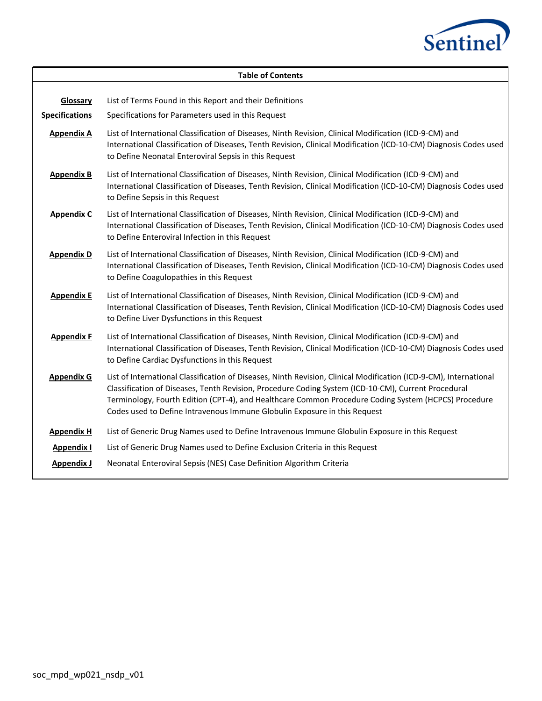

|                                   | <b>Table of Contents</b>                                                                                                                                                                                                                                                                                                                                                                                      |  |  |  |  |  |  |
|-----------------------------------|---------------------------------------------------------------------------------------------------------------------------------------------------------------------------------------------------------------------------------------------------------------------------------------------------------------------------------------------------------------------------------------------------------------|--|--|--|--|--|--|
| Glossary<br><b>Specifications</b> | List of Terms Found in this Report and their Definitions<br>Specifications for Parameters used in this Request                                                                                                                                                                                                                                                                                                |  |  |  |  |  |  |
| <b>Appendix A</b>                 | List of International Classification of Diseases, Ninth Revision, Clinical Modification (ICD-9-CM) and<br>International Classification of Diseases, Tenth Revision, Clinical Modification (ICD-10-CM) Diagnosis Codes used<br>to Define Neonatal Enteroviral Sepsis in this Request                                                                                                                           |  |  |  |  |  |  |
| <b>Appendix B</b>                 | List of International Classification of Diseases, Ninth Revision, Clinical Modification (ICD-9-CM) and<br>International Classification of Diseases, Tenth Revision, Clinical Modification (ICD-10-CM) Diagnosis Codes used<br>to Define Sepsis in this Request                                                                                                                                                |  |  |  |  |  |  |
| <b>Appendix C</b>                 | List of International Classification of Diseases, Ninth Revision, Clinical Modification (ICD-9-CM) and<br>International Classification of Diseases, Tenth Revision, Clinical Modification (ICD-10-CM) Diagnosis Codes used<br>to Define Enteroviral Infection in this Request                                                                                                                                 |  |  |  |  |  |  |
| <b>Appendix D</b>                 | List of International Classification of Diseases, Ninth Revision, Clinical Modification (ICD-9-CM) and<br>International Classification of Diseases, Tenth Revision, Clinical Modification (ICD-10-CM) Diagnosis Codes used<br>to Define Coagulopathies in this Request                                                                                                                                        |  |  |  |  |  |  |
| <b>Appendix E</b>                 | List of International Classification of Diseases, Ninth Revision, Clinical Modification (ICD-9-CM) and<br>International Classification of Diseases, Tenth Revision, Clinical Modification (ICD-10-CM) Diagnosis Codes used<br>to Define Liver Dysfunctions in this Request                                                                                                                                    |  |  |  |  |  |  |
| <b>Appendix F</b>                 | List of International Classification of Diseases, Ninth Revision, Clinical Modification (ICD-9-CM) and<br>International Classification of Diseases, Tenth Revision, Clinical Modification (ICD-10-CM) Diagnosis Codes used<br>to Define Cardiac Dysfunctions in this Request                                                                                                                                  |  |  |  |  |  |  |
| <b>Appendix G</b>                 | List of International Classification of Diseases, Ninth Revision, Clinical Modification (ICD-9-CM), International<br>Classification of Diseases, Tenth Revision, Procedure Coding System (ICD-10-CM), Current Procedural<br>Terminology, Fourth Edition (CPT-4), and Healthcare Common Procedure Coding System (HCPCS) Procedure<br>Codes used to Define Intravenous Immune Globulin Exposure in this Request |  |  |  |  |  |  |
| <b>Appendix H</b>                 | List of Generic Drug Names used to Define Intravenous Immune Globulin Exposure in this Request                                                                                                                                                                                                                                                                                                                |  |  |  |  |  |  |
| <b>Appendix I</b>                 | List of Generic Drug Names used to Define Exclusion Criteria in this Request                                                                                                                                                                                                                                                                                                                                  |  |  |  |  |  |  |
| <b>Appendix J</b>                 | Neonatal Enteroviral Sepsis (NES) Case Definition Algorithm Criteria                                                                                                                                                                                                                                                                                                                                          |  |  |  |  |  |  |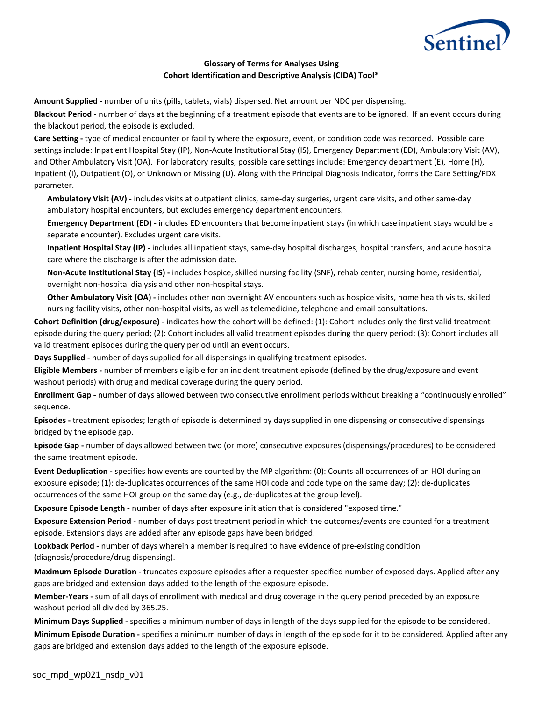

### **Glossary of Terms for Analyses Using Cohort Identification and Descriptive Analysis (CIDA) Tool\***

**Amount Supplied -** number of units (pills, tablets, vials) dispensed. Net amount per NDC per dispensing.

**Blackout Period -** number of days at the beginning of a treatment episode that events are to be ignored. If an event occurs during the blackout period, the episode is excluded.

**Care Setting -** type of medical encounter or facility where the exposure, event, or condition code was recorded. Possible care settings include: Inpatient Hospital Stay (IP), Non-Acute Institutional Stay (IS), Emergency Department (ED), Ambulatory Visit (AV), and Other Ambulatory Visit (OA). For laboratory results, possible care settings include: Emergency department (E), Home (H), Inpatient (I), Outpatient (O), or Unknown or Missing (U). Along with the Principal Diagnosis Indicator, forms the Care Setting/PDX parameter.

**Ambulatory Visit (AV) -** includes visits at outpatient clinics, same-day surgeries, urgent care visits, and other same-day ambulatory hospital encounters, but excludes emergency department encounters.

**Emergency Department (ED) -** includes ED encounters that become inpatient stays (in which case inpatient stays would be a separate encounter). Excludes urgent care visits.

**Inpatient Hospital Stay (IP) -** includes all inpatient stays, same-day hospital discharges, hospital transfers, and acute hospital care where the discharge is after the admission date.

**Non-Acute Institutional Stay (IS) -** includes hospice, skilled nursing facility (SNF), rehab center, nursing home, residential, overnight non-hospital dialysis and other non-hospital stays.

**Other Ambulatory Visit (OA) -** includes other non overnight AV encounters such as hospice visits, home health visits, skilled nursing facility visits, other non-hospital visits, as well as telemedicine, telephone and email consultations.

**Cohort Definition (drug/exposure) -** indicates how the cohort will be defined: (1): Cohort includes only the first valid treatment episode during the query period; (2): Cohort includes all valid treatment episodes during the query period; (3): Cohort includes all valid treatment episodes during the query period until an event occurs.

**Days Supplied -** number of days supplied for all dispensings in qualifying treatment episodes.

**Eligible Members -** number of members eligible for an incident treatment episode (defined by the drug/exposure and event washout periods) with drug and medical coverage during the query period.

**Enrollment Gap -** number of days allowed between two consecutive enrollment periods without breaking a "continuously enrolled" sequence.

**Episodes -** treatment episodes; length of episode is determined by days supplied in one dispensing or consecutive dispensings bridged by the episode gap.

**Episode Gap -** number of days allowed between two (or more) consecutive exposures (dispensings/procedures) to be considered the same treatment episode.

**Event Deduplication -** specifies how events are counted by the MP algorithm: (0): Counts all occurrences of an HOI during an exposure episode; (1): de-duplicates occurrences of the same HOI code and code type on the same day; (2): de-duplicates occurrences of the same HOI group on the same day (e.g., de-duplicates at the group level).

**Exposure Episode Length -** number of days after exposure initiation that is considered "exposed time."

**Exposure Extension Period -** number of days post treatment period in which the outcomes/events are counted for a treatment episode. Extensions days are added after any episode gaps have been bridged.

**Lookback Period -** number of days wherein a member is required to have evidence of pre-existing condition (diagnosis/procedure/drug dispensing).

**Maximum Episode Duration -** truncates exposure episodes after a requester-specified number of exposed days. Applied after any gaps are bridged and extension days added to the length of the exposure episode.

**Member-Years -** sum of all days of enrollment with medical and drug coverage in the query period preceded by an exposure washout period all divided by 365.25.

**Minimum Days Supplied -** specifies a minimum number of days in length of the days supplied for the episode to be considered. **Minimum Episode Duration -** specifies a minimum number of days in length of the episode for it to be considered. Applied after any gaps are bridged and extension days added to the length of the exposure episode.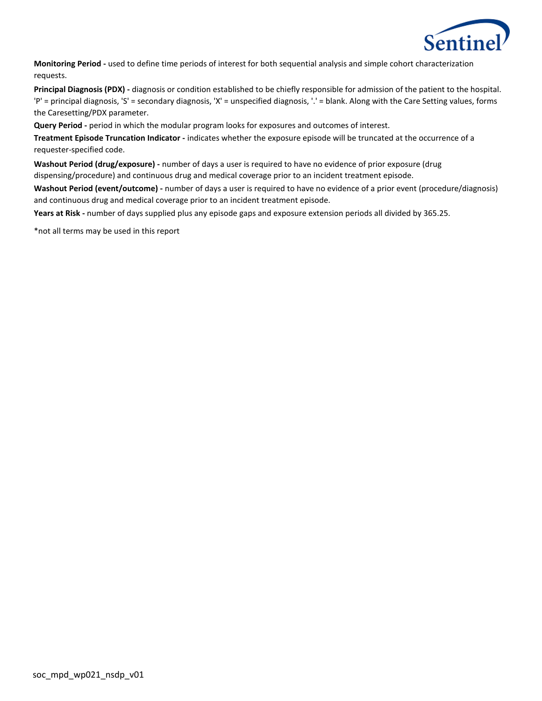

**Monitoring Period -** used to define time periods of interest for both sequential analysis and simple cohort characterization requests.

**Principal Diagnosis (PDX) -** diagnosis or condition established to be chiefly responsible for admission of the patient to the hospital. 'P' = principal diagnosis, 'S' = secondary diagnosis, 'X' = unspecified diagnosis, '.' = blank. Along with the Care Setting values, forms the Caresetting/PDX parameter.

**Query Period -** period in which the modular program looks for exposures and outcomes of interest.

**Treatment Episode Truncation Indicator -** indicates whether the exposure episode will be truncated at the occurrence of a requester-specified code.

**Washout Period (drug/exposure) -** number of days a user is required to have no evidence of prior exposure (drug dispensing/procedure) and continuous drug and medical coverage prior to an incident treatment episode.

**Washout Period (event/outcome) -** number of days a user is required to have no evidence of a prior event (procedure/diagnosis) and continuous drug and medical coverage prior to an incident treatment episode.

**Years at Risk -** number of days supplied plus any episode gaps and exposure extension periods all divided by 365.25.

\*not all terms may be used in this report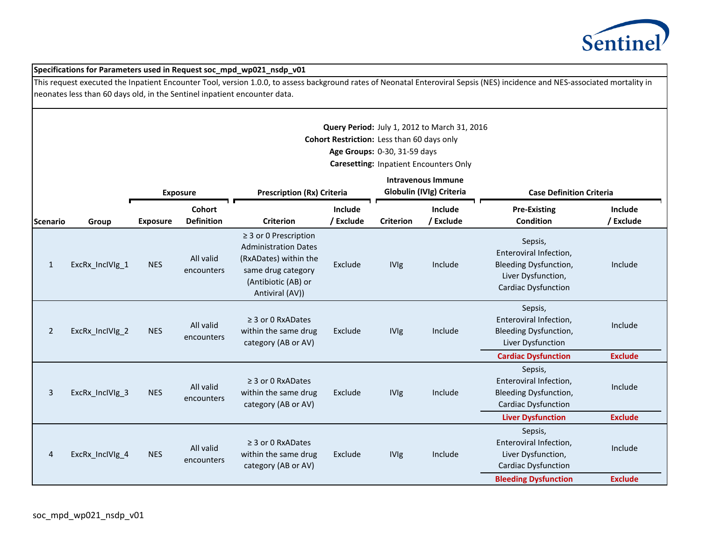

|                 | Specifications for Parameters used in Request soc_mpd_wp021_nsdp_v01                                                                                                                                                                                      |                 |                             |                                                                                                                                                    |                                                                                            |                                                                            |                                                                                               |                                                                                                                       |                      |  |
|-----------------|-----------------------------------------------------------------------------------------------------------------------------------------------------------------------------------------------------------------------------------------------------------|-----------------|-----------------------------|----------------------------------------------------------------------------------------------------------------------------------------------------|--------------------------------------------------------------------------------------------|----------------------------------------------------------------------------|-----------------------------------------------------------------------------------------------|-----------------------------------------------------------------------------------------------------------------------|----------------------|--|
|                 | This request executed the Inpatient Encounter Tool, version 1.0.0, to assess background rates of Neonatal Enteroviral Sepsis (NES) incidence and NES-associated mortality in<br>neonates less than 60 days old, in the Sentinel inpatient encounter data. |                 |                             |                                                                                                                                                    |                                                                                            |                                                                            |                                                                                               |                                                                                                                       |                      |  |
|                 |                                                                                                                                                                                                                                                           |                 |                             |                                                                                                                                                    |                                                                                            |                                                                            |                                                                                               |                                                                                                                       |                      |  |
|                 |                                                                                                                                                                                                                                                           |                 |                             |                                                                                                                                                    |                                                                                            | Cohort Restriction: Less than 60 days only<br>Age Groups: 0-30, 31-59 days | Query Period: July 1, 2012 to March 31, 2016<br><b>Caresetting: Inpatient Encounters Only</b> |                                                                                                                       |                      |  |
|                 |                                                                                                                                                                                                                                                           |                 | <b>Exposure</b>             |                                                                                                                                                    | <b>Intravenous Immune</b><br>Globulin (IVIg) Criteria<br><b>Prescription (Rx) Criteria</b> |                                                                            |                                                                                               | <b>Case Definition Criteria</b>                                                                                       |                      |  |
| <b>Scenario</b> | Group                                                                                                                                                                                                                                                     | <b>Exposure</b> | Cohort<br><b>Definition</b> | <b>Criterion</b>                                                                                                                                   | Include<br>/ Exclude                                                                       | <b>Criterion</b>                                                           | Include<br>/ Exclude                                                                          | <b>Pre-Existing</b><br><b>Condition</b>                                                                               | Include<br>/ Exclude |  |
| $\mathbf{1}$    | ExcRx_InclVlg_1                                                                                                                                                                                                                                           | <b>NES</b>      | All valid<br>encounters     | $\geq$ 3 or 0 Prescription<br><b>Administration Dates</b><br>(RxADates) within the<br>same drug category<br>(Antibiotic (AB) or<br>Antiviral (AV)) | Exclude                                                                                    | <b>IVIg</b>                                                                | Include                                                                                       | Sepsis,<br>Enteroviral Infection,<br><b>Bleeding Dysfunction,</b><br>Liver Dysfunction,<br><b>Cardiac Dysfunction</b> | Include              |  |
| $\overline{2}$  | ExcRx InclVlg 2                                                                                                                                                                                                                                           | <b>NES</b>      | All valid<br>encounters     | $\geq$ 3 or 0 RxADates<br>within the same drug<br>category (AB or AV)                                                                              | Exclude                                                                                    | <b>IVIg</b>                                                                | Include                                                                                       | Sepsis,<br>Enteroviral Infection,<br>Bleeding Dysfunction,<br>Liver Dysfunction                                       | Include              |  |
|                 |                                                                                                                                                                                                                                                           |                 |                             |                                                                                                                                                    |                                                                                            |                                                                            |                                                                                               | <b>Cardiac Dysfunction</b>                                                                                            | <b>Exclude</b>       |  |
| 3               | ExcRx_InclVIg_3                                                                                                                                                                                                                                           | <b>NES</b>      | All valid<br>encounters     | $\geq$ 3 or 0 RxADates<br>within the same drug<br>category (AB or AV)                                                                              | Exclude                                                                                    | <b>IVIg</b>                                                                | Include                                                                                       | Sepsis,<br>Enteroviral Infection,<br>Bleeding Dysfunction,<br><b>Cardiac Dysfunction</b>                              | Include              |  |
|                 |                                                                                                                                                                                                                                                           |                 |                             |                                                                                                                                                    |                                                                                            |                                                                            | <b>Liver Dysfunction</b>                                                                      | <b>Exclude</b>                                                                                                        |                      |  |
| 4               | ExcRx_InclVlg_4                                                                                                                                                                                                                                           | <b>NES</b>      | All valid<br>encounters     | $\geq$ 3 or 0 RxADates<br>within the same drug<br>category (AB or AV)                                                                              | Exclude                                                                                    | <b>IVIg</b>                                                                | Include                                                                                       | Sepsis,<br>Enteroviral Infection,<br>Liver Dysfunction,<br><b>Cardiac Dysfunction</b>                                 | Include              |  |
|                 |                                                                                                                                                                                                                                                           |                 |                             |                                                                                                                                                    |                                                                                            |                                                                            |                                                                                               | <b>Bleeding Dysfunction</b>                                                                                           | <b>Exclude</b>       |  |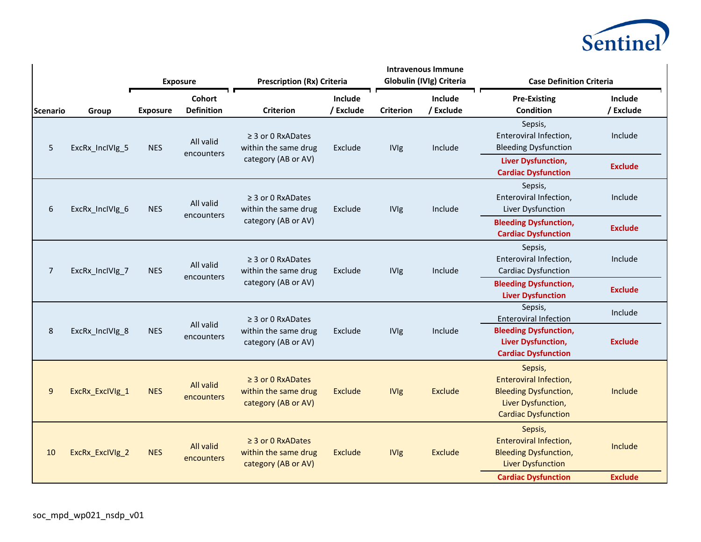

|                 |                 |                 | <b>Exposure</b>             | <b>Prescription (Rx) Criteria</b>                                     |                                                | <b>Intravenous Immune</b><br>Globulin (IVIg) Criteria |                      | <b>Case Definition Criteria</b>                                                                                       |                                                                 |         |
|-----------------|-----------------|-----------------|-----------------------------|-----------------------------------------------------------------------|------------------------------------------------|-------------------------------------------------------|----------------------|-----------------------------------------------------------------------------------------------------------------------|-----------------------------------------------------------------|---------|
| <b>Scenario</b> | Group           | <b>Exposure</b> | Cohort<br><b>Definition</b> | <b>Criterion</b>                                                      | Include<br>/ Exclude                           | <b>Criterion</b>                                      | Include<br>/ Exclude | <b>Pre-Existing</b><br>Condition                                                                                      | Include<br>/ Exclude                                            |         |
| 5               | ExcRx InclVlg 5 | <b>NES</b>      | All valid<br>encounters     | $\geq$ 3 or 0 RxADates<br>within the same drug                        | Exclude                                        | <b>IVIg</b>                                           | Include              | Sepsis,<br>Enteroviral Infection,<br><b>Bleeding Dysfunction</b>                                                      | Include                                                         |         |
|                 |                 |                 |                             | category (AB or AV)                                                   |                                                |                                                       |                      | <b>Liver Dysfunction,</b><br><b>Cardiac Dysfunction</b>                                                               | <b>Exclude</b>                                                  |         |
| 6               | ExcRx_InclVIg_6 | <b>NES</b>      | All valid                   | $\geq$ 3 or 0 RxADates<br>within the same drug                        | Exclude                                        | <b>IVIg</b>                                           | Include              | Sepsis,<br>Enteroviral Infection,<br>Liver Dysfunction                                                                | Include                                                         |         |
|                 |                 |                 | encounters                  | category (AB or AV)                                                   |                                                |                                                       |                      | <b>Bleeding Dysfunction,</b><br><b>Cardiac Dysfunction</b>                                                            | <b>Exclude</b>                                                  |         |
| 7               | ExcRx_InclVlg_7 | <b>NES</b>      |                             | All valid<br>encounters                                               | $\geq$ 3 or 0 RxADates<br>within the same drug | Exclude                                               | <b>IVIg</b>          | Include                                                                                                               | Sepsis,<br>Enteroviral Infection,<br><b>Cardiac Dysfunction</b> | Include |
|                 |                 |                 |                             | category (AB or AV)                                                   |                                                |                                                       |                      | <b>Bleeding Dysfunction,</b><br><b>Liver Dysfunction</b>                                                              | <b>Exclude</b>                                                  |         |
|                 |                 |                 |                             | $\geq$ 3 or 0 RxADates                                                |                                                |                                                       |                      | Sepsis,<br><b>Enteroviral Infection</b>                                                                               | Include                                                         |         |
| 8               | ExcRx_InclVIg_8 | <b>NES</b>      | All valid<br>encounters     | within the same drug<br>category (AB or AV)                           | Exclude                                        | Include<br><b>IVIg</b>                                |                      | <b>Bleeding Dysfunction,</b><br><b>Liver Dysfunction,</b><br><b>Cardiac Dysfunction</b>                               | <b>Exclude</b>                                                  |         |
| $\overline{9}$  | ExcRx_ExclVlg_1 | <b>NES</b>      | All valid<br>encounters     | $\geq$ 3 or 0 RxADates<br>within the same drug<br>category (AB or AV) | <b>Exclude</b>                                 | <b>IVIg</b>                                           | <b>Exclude</b>       | Sepsis,<br>Enteroviral Infection,<br><b>Bleeding Dysfunction,</b><br>Liver Dysfunction,<br><b>Cardiac Dysfunction</b> | Include                                                         |         |
| 10              | ExcRx_ExclVlg_2 | <b>NES</b>      | All valid<br>encounters     | $\geq$ 3 or 0 RxADates<br>within the same drug<br>category (AB or AV) | <b>Exclude</b>                                 | <b>IVIg</b>                                           | Exclude              | Sepsis,<br>Enteroviral Infection,<br><b>Bleeding Dysfunction,</b><br><b>Liver Dysfunction</b>                         | Include                                                         |         |
|                 |                 |                 |                             |                                                                       |                                                |                                                       |                      | <b>Cardiac Dysfunction</b>                                                                                            | <b>Exclude</b>                                                  |         |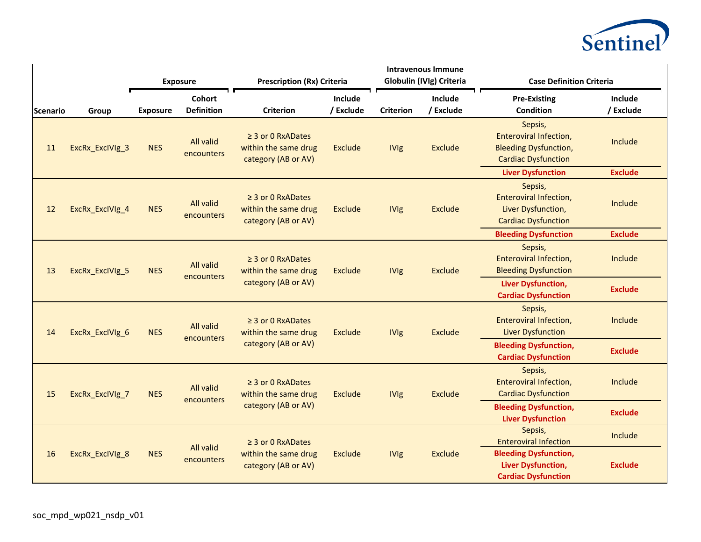

|                  |                                                          |                                                | <b>Exposure</b>                                | <b>Prescription (Rx) Criteria</b>                                     |                      | <b>Intravenous Immune</b><br>Globulin (IVIg) Criteria            |                                                                        | <b>Case Definition Criteria</b>                                                                        |                      |
|------------------|----------------------------------------------------------|------------------------------------------------|------------------------------------------------|-----------------------------------------------------------------------|----------------------|------------------------------------------------------------------|------------------------------------------------------------------------|--------------------------------------------------------------------------------------------------------|----------------------|
| <b>IScenario</b> | Group                                                    | <b>Exposure</b>                                | <b>Cohort</b><br><b>Definition</b>             | <b>Criterion</b>                                                      | Include<br>/ Exclude | <b>Criterion</b>                                                 | Include<br>/ Exclude                                                   | <b>Pre-Existing</b><br>Condition                                                                       | Include<br>/ Exclude |
| 11               | ExcRx_ExclVlg_3                                          | <b>NES</b>                                     | All valid<br>encounters                        | $\geq$ 3 or 0 RxADates<br>within the same drug<br>category (AB or AV) | Exclude              | <b>IVIg</b>                                                      | <b>Exclude</b>                                                         | Sepsis,<br><b>Enteroviral Infection,</b><br><b>Bleeding Dysfunction,</b><br><b>Cardiac Dysfunction</b> | Include              |
|                  |                                                          |                                                |                                                |                                                                       |                      |                                                                  |                                                                        | <b>Liver Dysfunction</b>                                                                               | <b>Exclude</b>       |
| 12               | ExcRx_ExclVlg_4                                          | <b>NES</b>                                     | All valid<br>encounters                        | $\geq$ 3 or 0 RxADates<br>within the same drug<br>category (AB or AV) | Exclude              | <b>IVIg</b>                                                      | <b>Exclude</b>                                                         | Sepsis,<br>Enteroviral Infection,<br>Liver Dysfunction,<br><b>Cardiac Dysfunction</b>                  | Include              |
|                  |                                                          |                                                |                                                |                                                                       |                      |                                                                  |                                                                        | <b>Bleeding Dysfunction</b>                                                                            | <b>Exclude</b>       |
| 13               | All valid<br>ExcRx_ExclVlg_5<br><b>NES</b><br>encounters | $\geq$ 3 or 0 RxADates<br>within the same drug | Exclude                                        | <b>IVIg</b>                                                           | Exclude              | Sepsis,<br>Enteroviral Infection,<br><b>Bleeding Dysfunction</b> | Include                                                                |                                                                                                        |                      |
|                  |                                                          |                                                |                                                | category (AB or AV)                                                   |                      |                                                                  |                                                                        | <b>Liver Dysfunction,</b><br><b>Cardiac Dysfunction</b>                                                | <b>Exclude</b>       |
| 14               | ExcRx_ExclVlg_6                                          |                                                | All valid<br><b>NES</b>                        | $\geq$ 3 or 0 RxADates<br>within the same drug<br>category (AB or AV) | Exclude              | <b>IVIg</b>                                                      | <b>Exclude</b>                                                         | Sepsis,<br><b>Enteroviral Infection,</b><br><b>Liver Dysfunction</b>                                   | Include              |
|                  |                                                          | encounters                                     |                                                |                                                                       |                      | <b>Bleeding Dysfunction,</b><br><b>Cardiac Dysfunction</b>       |                                                                        | <b>Exclude</b>                                                                                         |                      |
| 15               | ExcRx_ExclVlg_7                                          | All valid<br><b>NES</b><br>encounters          | $\geq$ 3 or 0 RxADates<br>within the same drug | <b>Exclude</b>                                                        | <b>IVIg</b>          | <b>Exclude</b>                                                   | Sepsis,<br><b>Enteroviral Infection,</b><br><b>Cardiac Dysfunction</b> | Include                                                                                                |                      |
|                  |                                                          |                                                |                                                | category (AB or AV)                                                   |                      |                                                                  |                                                                        | <b>Bleeding Dysfunction,</b><br><b>Liver Dysfunction</b>                                               | <b>Exclude</b>       |
|                  |                                                          |                                                | All valid<br><b>NES</b><br>encounters          | $\geq$ 3 or 0 RxADates                                                |                      |                                                                  |                                                                        | Sepsis,<br><b>Enteroviral Infection</b>                                                                | Include              |
| 16               | ExcRx_ExclVlg_8                                          |                                                |                                                | within the same drug<br>category (AB or AV)                           | Exclude              | <b>IVIg</b>                                                      | Exclude                                                                | <b>Bleeding Dysfunction,</b><br>Liver Dysfunction,<br><b>Cardiac Dysfunction</b>                       | <b>Exclude</b>       |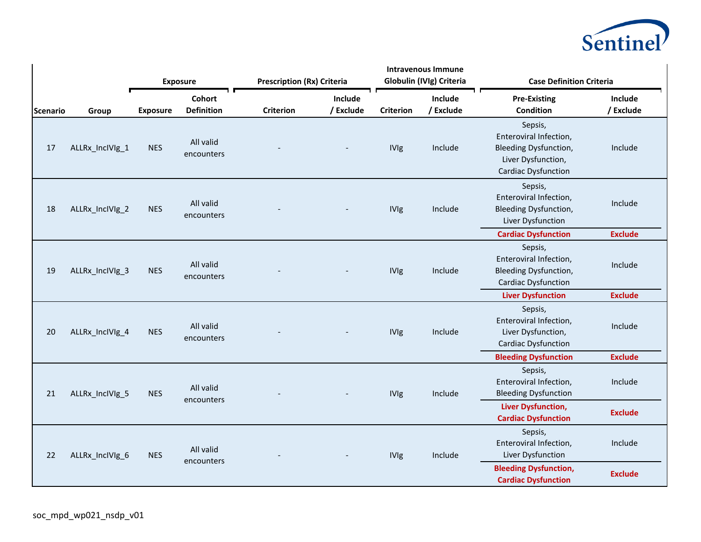

|                 |                 |                 | <b>Exposure</b>             | <b>Prescription (Rx) Criteria</b> |                      | <b>Intravenous Immune</b><br>Globulin (IVIg) Criteria |                      | <b>Case Definition Criteria</b>                                                                                       |                           |
|-----------------|-----------------|-----------------|-----------------------------|-----------------------------------|----------------------|-------------------------------------------------------|----------------------|-----------------------------------------------------------------------------------------------------------------------|---------------------------|
| <b>Scenario</b> | Group           | <b>Exposure</b> | Cohort<br><b>Definition</b> | <b>Criterion</b>                  | Include<br>/ Exclude | <b>Criterion</b>                                      | Include<br>/ Exclude | <b>Pre-Existing</b><br><b>Condition</b>                                                                               | Include<br>/ Exclude      |
| 17              | ALLRx_InclVIg_1 | <b>NES</b>      | All valid<br>encounters     |                                   |                      | <b>IVIg</b>                                           | Include              | Sepsis,<br>Enteroviral Infection,<br><b>Bleeding Dysfunction,</b><br>Liver Dysfunction,<br><b>Cardiac Dysfunction</b> | Include                   |
| 18              | ALLRx_InclVIg_2 | <b>NES</b>      | All valid<br>encounters     |                                   |                      | <b>IVIg</b>                                           | Include              | Sepsis,<br>Enteroviral Infection,<br><b>Bleeding Dysfunction,</b><br>Liver Dysfunction<br><b>Cardiac Dysfunction</b>  | Include<br><b>Exclude</b> |
| 19              | ALLRx_InclVIg_3 | <b>NES</b>      | All valid<br>encounters     |                                   |                      | <b>IVIg</b>                                           | Include              | Sepsis,<br>Enteroviral Infection,<br><b>Bleeding Dysfunction,</b><br><b>Cardiac Dysfunction</b>                       | Include                   |
|                 |                 |                 |                             |                                   |                      |                                                       |                      | <b>Liver Dysfunction</b>                                                                                              | <b>Exclude</b>            |
| 20              | ALLRx_InclVIg_4 | <b>NES</b>      | All valid<br>encounters     |                                   |                      | <b>IVIg</b>                                           | Include              | Sepsis,<br>Enteroviral Infection,<br>Liver Dysfunction,<br><b>Cardiac Dysfunction</b>                                 | Include                   |
|                 |                 |                 |                             |                                   |                      |                                                       |                      | <b>Bleeding Dysfunction</b>                                                                                           | <b>Exclude</b>            |
| 21              | ALLRx_InclVIg_5 | <b>NES</b>      | All valid<br>encounters     |                                   |                      | <b>IVIg</b>                                           | Include              | Sepsis,<br>Enteroviral Infection,<br><b>Bleeding Dysfunction</b>                                                      | Include                   |
|                 |                 |                 |                             |                                   |                      |                                                       |                      | <b>Liver Dysfunction,</b><br><b>Cardiac Dysfunction</b>                                                               | <b>Exclude</b>            |
| 22              | ALLRx_InclVIg_6 | <b>NES</b>      | All valid<br>encounters     |                                   |                      | <b>IVIg</b>                                           | Include              | Sepsis,<br>Enteroviral Infection,<br>Liver Dysfunction                                                                | Include                   |
|                 |                 |                 |                             |                                   |                      |                                                       |                      | <b>Bleeding Dysfunction,</b><br><b>Cardiac Dysfunction</b>                                                            | <b>Exclude</b>            |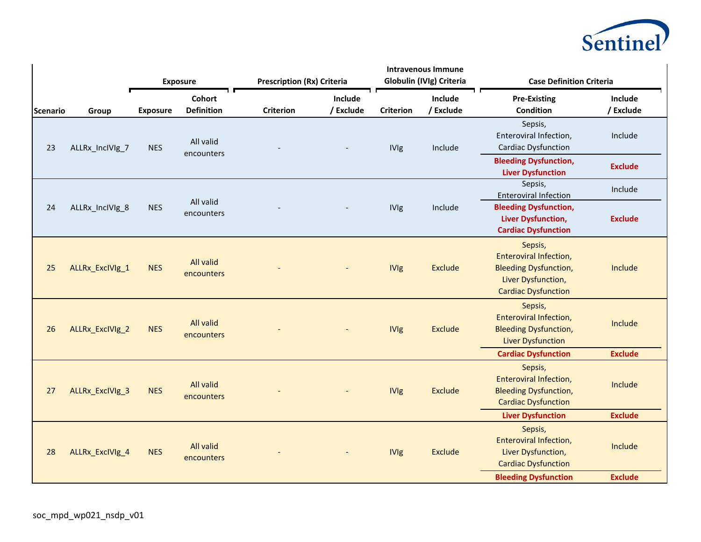

|                  |                 |                 | <b>Exposure</b>             | <b>Prescription (Rx) Criteria</b> |                      | <b>Intravenous Immune</b><br>Globulin (IVIg) Criteria |                      | <b>Case Definition Criteria</b>                                                                                               |                           |  |
|------------------|-----------------|-----------------|-----------------------------|-----------------------------------|----------------------|-------------------------------------------------------|----------------------|-------------------------------------------------------------------------------------------------------------------------------|---------------------------|--|
| <b>IScenario</b> | Group           | <b>Exposure</b> | Cohort<br><b>Definition</b> | <b>Criterion</b>                  | Include<br>/ Exclude | <b>Criterion</b>                                      | Include<br>/ Exclude | <b>Pre-Existing</b><br><b>Condition</b>                                                                                       | Include<br>/ Exclude      |  |
| 23               | ALLRx_InclVIg_7 | <b>NES</b>      | All valid<br>encounters     |                                   |                      | <b>IVIg</b>                                           | Include              | Sepsis,<br>Enteroviral Infection,<br><b>Cardiac Dysfunction</b>                                                               | Include                   |  |
|                  |                 |                 |                             |                                   |                      |                                                       |                      | <b>Bleeding Dysfunction,</b><br><b>Liver Dysfunction</b>                                                                      | <b>Exclude</b>            |  |
|                  |                 |                 | All valid                   |                                   |                      |                                                       |                      | Sepsis,<br><b>Enteroviral Infection</b>                                                                                       | Include                   |  |
| 24               | ALLRx InclVlg 8 | <b>NES</b>      | encounters                  |                                   |                      | <b>IVIg</b>                                           | Include              | <b>Bleeding Dysfunction,</b><br><b>Liver Dysfunction,</b><br><b>Cardiac Dysfunction</b>                                       | <b>Exclude</b>            |  |
| 25               | ALLRx_ExclVlg_1 | <b>NES</b>      | All valid<br>encounters     |                                   |                      | <b>IVIg</b>                                           | <b>Exclude</b>       | Sepsis,<br>Enteroviral Infection,<br><b>Bleeding Dysfunction,</b><br>Liver Dysfunction,<br><b>Cardiac Dysfunction</b>         | Include                   |  |
| 26               | ALLRx_ExclVlg_2 | <b>NES</b>      | All valid<br>encounters     |                                   |                      | <b>IVIg</b>                                           | <b>Exclude</b>       | Sepsis,<br><b>Enteroviral Infection,</b><br><b>Bleeding Dysfunction,</b><br><b>Liver Dysfunction</b>                          | Include                   |  |
| 27               | ALLRx_ExclVlg_3 | <b>NES</b>      | All valid<br>encounters     |                                   |                      | <b>IVIg</b>                                           | <b>Exclude</b>       | <b>Cardiac Dysfunction</b><br>Sepsis,<br>Enteroviral Infection,<br><b>Bleeding Dysfunction,</b><br><b>Cardiac Dysfunction</b> | <b>Exclude</b><br>Include |  |
|                  |                 |                 |                             |                                   |                      |                                                       |                      | <b>Liver Dysfunction</b>                                                                                                      | <b>Exclude</b>            |  |
| 28               | ALLRx_ExclVlg_4 | <b>NES</b>      | All valid<br>encounters     |                                   |                      | <b>IVIg</b>                                           | Exclude              | Sepsis,<br><b>Enteroviral Infection,</b><br>Liver Dysfunction,<br><b>Cardiac Dysfunction</b>                                  | Include                   |  |
|                  |                 |                 |                             |                                   |                      |                                                       |                      | <b>Bleeding Dysfunction</b>                                                                                                   | <b>Exclude</b>            |  |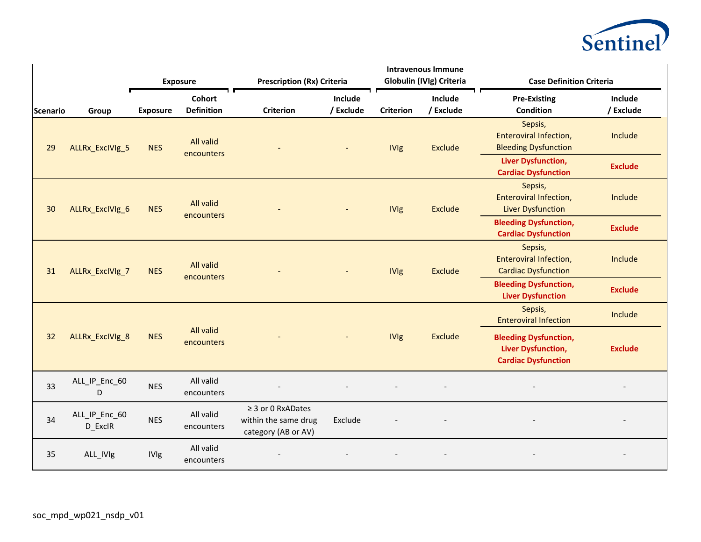

|          |                          |                 | <b>Exposure</b>                | <b>Prescription (Rx) Criteria</b>                                     |                      | <b>Intravenous Immune</b><br>Globulin (IVIg) Criteria |                      | <b>Case Definition Criteria</b>                                                         |                      |
|----------|--------------------------|-----------------|--------------------------------|-----------------------------------------------------------------------|----------------------|-------------------------------------------------------|----------------------|-----------------------------------------------------------------------------------------|----------------------|
| Scenario | Group                    | <b>Exposure</b> | Cohort<br><b>Definition</b>    | <b>Criterion</b>                                                      | Include<br>/ Exclude | <b>Criterion</b>                                      | Include<br>/ Exclude | <b>Pre-Existing</b><br><b>Condition</b>                                                 | Include<br>/ Exclude |
| 29       | ALLRx_ExclVlg_5          | <b>NES</b>      | All valid<br>encounters        |                                                                       |                      | <b>IVIg</b>                                           | <b>Exclude</b>       | Sepsis,<br><b>Enteroviral Infection,</b><br><b>Bleeding Dysfunction</b>                 | Include              |
|          |                          |                 |                                |                                                                       |                      |                                                       |                      | Liver Dysfunction,<br><b>Cardiac Dysfunction</b>                                        | <b>Exclude</b>       |
| 30       | ALLRx_ExclVlg_6          | <b>NES</b>      | All valid<br><b>encounters</b> |                                                                       | Sepsis,              | <b>IVIg</b><br><b>Exclude</b>                         |                      | <b>Enteroviral Infection,</b><br><b>Liver Dysfunction</b>                               | Include              |
|          |                          |                 |                                |                                                                       |                      |                                                       |                      | <b>Bleeding Dysfunction,</b><br><b>Cardiac Dysfunction</b>                              | <b>Exclude</b>       |
| 31       | ALLRx_ExclVlg_7          | <b>NES</b>      | All valid<br><b>encounters</b> |                                                                       |                      | <b>IVIg</b>                                           | <b>Exclude</b>       | Sepsis,<br>Enteroviral Infection,<br><b>Cardiac Dysfunction</b>                         | Include              |
|          |                          |                 |                                |                                                                       |                      |                                                       |                      | <b>Bleeding Dysfunction,</b><br><b>Liver Dysfunction</b>                                | <b>Exclude</b>       |
|          |                          |                 |                                |                                                                       |                      |                                                       |                      | Sepsis,<br><b>Enteroviral Infection</b>                                                 | Include              |
| 32       | ALLRx_ExclVlg_8          | <b>NES</b>      | All valid<br>encounters        |                                                                       |                      | <b>IVIg</b>                                           | <b>Exclude</b>       | <b>Bleeding Dysfunction,</b><br><b>Liver Dysfunction,</b><br><b>Cardiac Dysfunction</b> | <b>Exclude</b>       |
| 33       | ALL_IP_Enc_60<br>D       | <b>NES</b>      | All valid<br>encounters        |                                                                       |                      |                                                       |                      |                                                                                         |                      |
| 34       | ALL_IP_Enc_60<br>D_ExclR | <b>NES</b>      | All valid<br>encounters        | $\geq$ 3 or 0 RxADates<br>within the same drug<br>category (AB or AV) | Exclude              |                                                       |                      |                                                                                         |                      |
| 35       | ALL_IVIg                 | <b>IVIg</b>     | All valid<br>encounters        |                                                                       |                      |                                                       |                      |                                                                                         |                      |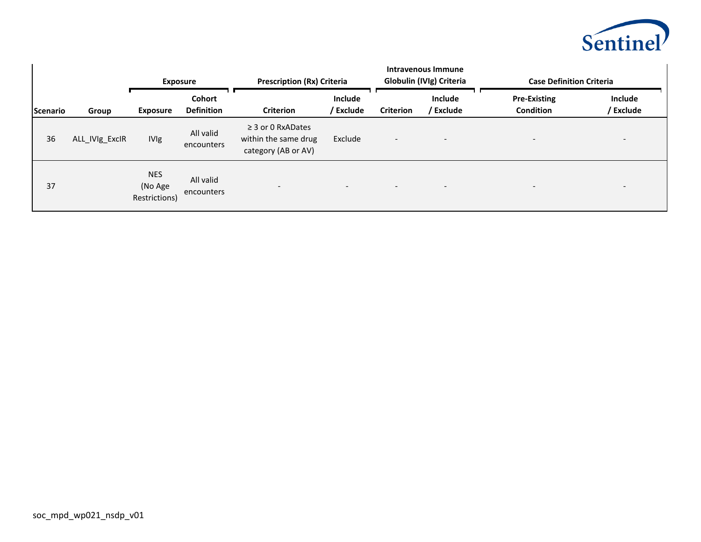

|          |                | <b>Exposure</b>                        |                             | <b>Prescription (Rx) Criteria</b>                                     |                          | Intravenous Immune<br>Globulin (IVIg) Criteria |                          | <b>Case Definition Criteria</b>         |                          |
|----------|----------------|----------------------------------------|-----------------------------|-----------------------------------------------------------------------|--------------------------|------------------------------------------------|--------------------------|-----------------------------------------|--------------------------|
| Scenario | Group          | <b>Exposure</b>                        | Cohort<br><b>Definition</b> | <b>Criterion</b>                                                      | Include<br>/ Exclude     | <b>Criterion</b>                               | Include<br>/ Exclude     | <b>Pre-Existing</b><br><b>Condition</b> | Include<br>/ Exclude     |
| 36       | ALL_IVIg_ExcIR | <b>IVIg</b>                            | All valid<br>encounters     | $\geq$ 3 or 0 RxADates<br>within the same drug<br>category (AB or AV) | Exclude                  | $\overline{\phantom{a}}$                       |                          | $\overline{\phantom{0}}$                |                          |
| 37       |                | <b>NES</b><br>(No Age<br>Restrictions) | All valid<br>encounters     | $\overline{\phantom{a}}$                                              | $\overline{\phantom{0}}$ | $\overline{\phantom{0}}$                       | $\overline{\phantom{a}}$ | $\overline{\phantom{a}}$                | $\overline{\phantom{a}}$ |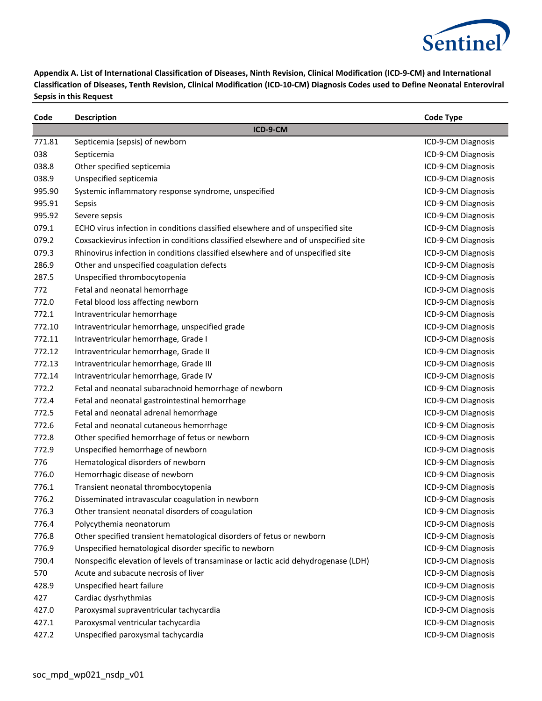

| Code   | <b>Description</b>                                                                  | <b>Code Type</b>   |
|--------|-------------------------------------------------------------------------------------|--------------------|
|        | ICD-9-CM                                                                            |                    |
| 771.81 | Septicemia (sepsis) of newborn                                                      | ICD-9-CM Diagnosis |
| 038    | Septicemia                                                                          | ICD-9-CM Diagnosis |
| 038.8  | Other specified septicemia                                                          | ICD-9-CM Diagnosis |
| 038.9  | Unspecified septicemia                                                              | ICD-9-CM Diagnosis |
| 995.90 | Systemic inflammatory response syndrome, unspecified                                | ICD-9-CM Diagnosis |
| 995.91 | Sepsis                                                                              | ICD-9-CM Diagnosis |
| 995.92 | Severe sepsis                                                                       | ICD-9-CM Diagnosis |
| 079.1  | ECHO virus infection in conditions classified elsewhere and of unspecified site     | ICD-9-CM Diagnosis |
| 079.2  | Coxsackievirus infection in conditions classified elsewhere and of unspecified site | ICD-9-CM Diagnosis |
| 079.3  | Rhinovirus infection in conditions classified elsewhere and of unspecified site     | ICD-9-CM Diagnosis |
| 286.9  | Other and unspecified coagulation defects                                           | ICD-9-CM Diagnosis |
| 287.5  | Unspecified thrombocytopenia                                                        | ICD-9-CM Diagnosis |
| 772    | Fetal and neonatal hemorrhage                                                       | ICD-9-CM Diagnosis |
| 772.0  | Fetal blood loss affecting newborn                                                  | ICD-9-CM Diagnosis |
| 772.1  | Intraventricular hemorrhage                                                         | ICD-9-CM Diagnosis |
| 772.10 | Intraventricular hemorrhage, unspecified grade                                      | ICD-9-CM Diagnosis |
| 772.11 | Intraventricular hemorrhage, Grade I                                                | ICD-9-CM Diagnosis |
| 772.12 | Intraventricular hemorrhage, Grade II                                               | ICD-9-CM Diagnosis |
| 772.13 | Intraventricular hemorrhage, Grade III                                              | ICD-9-CM Diagnosis |
| 772.14 | Intraventricular hemorrhage, Grade IV                                               | ICD-9-CM Diagnosis |
| 772.2  | Fetal and neonatal subarachnoid hemorrhage of newborn                               | ICD-9-CM Diagnosis |
| 772.4  | Fetal and neonatal gastrointestinal hemorrhage                                      | ICD-9-CM Diagnosis |
| 772.5  | Fetal and neonatal adrenal hemorrhage                                               | ICD-9-CM Diagnosis |
| 772.6  | Fetal and neonatal cutaneous hemorrhage                                             | ICD-9-CM Diagnosis |
| 772.8  | Other specified hemorrhage of fetus or newborn                                      | ICD-9-CM Diagnosis |
| 772.9  | Unspecified hemorrhage of newborn                                                   | ICD-9-CM Diagnosis |
| 776    | Hematological disorders of newborn                                                  | ICD-9-CM Diagnosis |
| 776.0  | Hemorrhagic disease of newborn                                                      | ICD-9-CM Diagnosis |
| 776.1  | Transient neonatal thrombocytopenia                                                 | ICD-9-CM Diagnosis |
| 776.2  | Disseminated intravascular coagulation in newborn                                   | ICD-9-CM Diagnosis |
| 776.3  | Other transient neonatal disorders of coagulation                                   | ICD-9-CM Diagnosis |
| 776.4  | Polycythemia neonatorum                                                             | ICD-9-CM Diagnosis |
| 776.8  | Other specified transient hematological disorders of fetus or newborn               | ICD-9-CM Diagnosis |
| 776.9  | Unspecified hematological disorder specific to newborn                              | ICD-9-CM Diagnosis |
| 790.4  | Nonspecific elevation of levels of transaminase or lactic acid dehydrogenase (LDH)  | ICD-9-CM Diagnosis |
| 570    | Acute and subacute necrosis of liver                                                | ICD-9-CM Diagnosis |
| 428.9  | Unspecified heart failure                                                           | ICD-9-CM Diagnosis |
| 427    | Cardiac dysrhythmias                                                                | ICD-9-CM Diagnosis |
| 427.0  | Paroxysmal supraventricular tachycardia                                             | ICD-9-CM Diagnosis |
| 427.1  | Paroxysmal ventricular tachycardia                                                  | ICD-9-CM Diagnosis |
| 427.2  | Unspecified paroxysmal tachycardia                                                  | ICD-9-CM Diagnosis |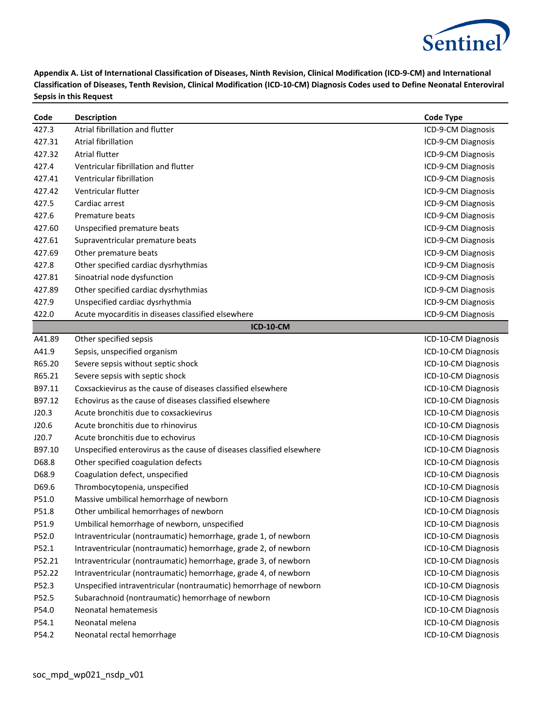

| Code   | <b>Description</b>                                                    | <b>Code Type</b>    |
|--------|-----------------------------------------------------------------------|---------------------|
| 427.3  | Atrial fibrillation and flutter                                       | ICD-9-CM Diagnosis  |
| 427.31 | <b>Atrial fibrillation</b>                                            | ICD-9-CM Diagnosis  |
| 427.32 | <b>Atrial flutter</b>                                                 | ICD-9-CM Diagnosis  |
| 427.4  | Ventricular fibrillation and flutter                                  | ICD-9-CM Diagnosis  |
| 427.41 | Ventricular fibrillation                                              | ICD-9-CM Diagnosis  |
| 427.42 | Ventricular flutter                                                   | ICD-9-CM Diagnosis  |
| 427.5  | Cardiac arrest                                                        | ICD-9-CM Diagnosis  |
| 427.6  | Premature beats                                                       | ICD-9-CM Diagnosis  |
| 427.60 | Unspecified premature beats                                           | ICD-9-CM Diagnosis  |
| 427.61 | Supraventricular premature beats                                      | ICD-9-CM Diagnosis  |
| 427.69 | Other premature beats                                                 | ICD-9-CM Diagnosis  |
| 427.8  | Other specified cardiac dysrhythmias                                  | ICD-9-CM Diagnosis  |
| 427.81 | Sinoatrial node dysfunction                                           | ICD-9-CM Diagnosis  |
| 427.89 | Other specified cardiac dysrhythmias                                  | ICD-9-CM Diagnosis  |
| 427.9  | Unspecified cardiac dysrhythmia                                       | ICD-9-CM Diagnosis  |
| 422.0  | Acute myocarditis in diseases classified elsewhere                    | ICD-9-CM Diagnosis  |
|        | <b>ICD-10-CM</b>                                                      |                     |
| A41.89 | Other specified sepsis                                                | ICD-10-CM Diagnosis |
| A41.9  | Sepsis, unspecified organism                                          | ICD-10-CM Diagnosis |
| R65.20 | Severe sepsis without septic shock                                    | ICD-10-CM Diagnosis |
| R65.21 | Severe sepsis with septic shock                                       | ICD-10-CM Diagnosis |
| B97.11 | Coxsackievirus as the cause of diseases classified elsewhere          | ICD-10-CM Diagnosis |
| B97.12 | Echovirus as the cause of diseases classified elsewhere               | ICD-10-CM Diagnosis |
| J20.3  | Acute bronchitis due to coxsackievirus                                | ICD-10-CM Diagnosis |
| J20.6  | Acute bronchitis due to rhinovirus                                    | ICD-10-CM Diagnosis |
| J20.7  | Acute bronchitis due to echovirus                                     | ICD-10-CM Diagnosis |
| B97.10 | Unspecified enterovirus as the cause of diseases classified elsewhere | ICD-10-CM Diagnosis |
| D68.8  | Other specified coagulation defects                                   | ICD-10-CM Diagnosis |
| D68.9  | Coagulation defect, unspecified                                       | ICD-10-CM Diagnosis |
| D69.6  | Thrombocytopenia, unspecified                                         | ICD-10-CM Diagnosis |
| P51.0  | Massive umbilical hemorrhage of newborn                               | ICD-10-CM Diagnosis |
| P51.8  | Other umbilical hemorrhages of newborn                                | ICD-10-CM Diagnosis |
| P51.9  | Umbilical hemorrhage of newborn, unspecified                          | ICD-10-CM Diagnosis |
| P52.0  | Intraventricular (nontraumatic) hemorrhage, grade 1, of newborn       | ICD-10-CM Diagnosis |
| P52.1  | Intraventricular (nontraumatic) hemorrhage, grade 2, of newborn       | ICD-10-CM Diagnosis |
| P52.21 | Intraventricular (nontraumatic) hemorrhage, grade 3, of newborn       | ICD-10-CM Diagnosis |
| P52.22 | Intraventricular (nontraumatic) hemorrhage, grade 4, of newborn       | ICD-10-CM Diagnosis |
| P52.3  | Unspecified intraventricular (nontraumatic) hemorrhage of newborn     | ICD-10-CM Diagnosis |
| P52.5  | Subarachnoid (nontraumatic) hemorrhage of newborn                     | ICD-10-CM Diagnosis |
| P54.0  | Neonatal hematemesis                                                  | ICD-10-CM Diagnosis |
| P54.1  | Neonatal melena                                                       | ICD-10-CM Diagnosis |
| P54.2  | Neonatal rectal hemorrhage                                            | ICD-10-CM Diagnosis |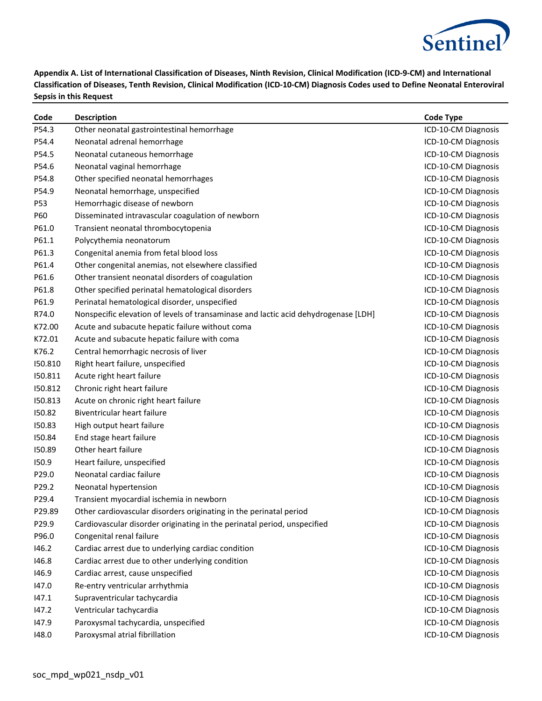

| Code    | <b>Description</b>                                                                  | <b>Code Type</b>    |
|---------|-------------------------------------------------------------------------------------|---------------------|
| P54.3   | Other neonatal gastrointestinal hemorrhage                                          | ICD-10-CM Diagnosis |
| P54.4   | Neonatal adrenal hemorrhage                                                         | ICD-10-CM Diagnosis |
| P54.5   | Neonatal cutaneous hemorrhage                                                       | ICD-10-CM Diagnosis |
| P54.6   | Neonatal vaginal hemorrhage                                                         | ICD-10-CM Diagnosis |
| P54.8   | Other specified neonatal hemorrhages                                                | ICD-10-CM Diagnosis |
| P54.9   | Neonatal hemorrhage, unspecified                                                    | ICD-10-CM Diagnosis |
| P53     | Hemorrhagic disease of newborn                                                      | ICD-10-CM Diagnosis |
| P60     | Disseminated intravascular coagulation of newborn                                   | ICD-10-CM Diagnosis |
| P61.0   | Transient neonatal thrombocytopenia                                                 | ICD-10-CM Diagnosis |
| P61.1   | Polycythemia neonatorum                                                             | ICD-10-CM Diagnosis |
| P61.3   | Congenital anemia from fetal blood loss                                             | ICD-10-CM Diagnosis |
| P61.4   | Other congenital anemias, not elsewhere classified                                  | ICD-10-CM Diagnosis |
| P61.6   | Other transient neonatal disorders of coagulation                                   | ICD-10-CM Diagnosis |
| P61.8   | Other specified perinatal hematological disorders                                   | ICD-10-CM Diagnosis |
| P61.9   | Perinatal hematological disorder, unspecified                                       | ICD-10-CM Diagnosis |
| R74.0   | Nonspecific elevation of levels of transaminase and lactic acid dehydrogenase [LDH] | ICD-10-CM Diagnosis |
| K72.00  | Acute and subacute hepatic failure without coma                                     | ICD-10-CM Diagnosis |
| K72.01  | Acute and subacute hepatic failure with coma                                        | ICD-10-CM Diagnosis |
| K76.2   | Central hemorrhagic necrosis of liver                                               | ICD-10-CM Diagnosis |
| 150.810 | Right heart failure, unspecified                                                    | ICD-10-CM Diagnosis |
| 150.811 | Acute right heart failure                                                           | ICD-10-CM Diagnosis |
| 150.812 | Chronic right heart failure                                                         | ICD-10-CM Diagnosis |
| 150.813 | Acute on chronic right heart failure                                                | ICD-10-CM Diagnosis |
| 150.82  | Biventricular heart failure                                                         | ICD-10-CM Diagnosis |
| 150.83  | High output heart failure                                                           | ICD-10-CM Diagnosis |
| 150.84  | End stage heart failure                                                             | ICD-10-CM Diagnosis |
| 150.89  | Other heart failure                                                                 | ICD-10-CM Diagnosis |
| 150.9   | Heart failure, unspecified                                                          | ICD-10-CM Diagnosis |
| P29.0   | Neonatal cardiac failure                                                            | ICD-10-CM Diagnosis |
| P29.2   | Neonatal hypertension                                                               | ICD-10-CM Diagnosis |
| P29.4   | Transient myocardial ischemia in newborn                                            | ICD-10-CM Diagnosis |
| P29.89  | Other cardiovascular disorders originating in the perinatal period                  | ICD-10-CM Diagnosis |
| P29.9   | Cardiovascular disorder originating in the perinatal period, unspecified            | ICD-10-CM Diagnosis |
| P96.0   | Congenital renal failure                                                            | ICD-10-CM Diagnosis |
| 146.2   | Cardiac arrest due to underlying cardiac condition                                  | ICD-10-CM Diagnosis |
| 146.8   | Cardiac arrest due to other underlying condition                                    | ICD-10-CM Diagnosis |
| 146.9   | Cardiac arrest, cause unspecified                                                   | ICD-10-CM Diagnosis |
| 147.0   | Re-entry ventricular arrhythmia                                                     | ICD-10-CM Diagnosis |
| 147.1   | Supraventricular tachycardia                                                        | ICD-10-CM Diagnosis |
| 147.2   | Ventricular tachycardia                                                             | ICD-10-CM Diagnosis |
| 147.9   | Paroxysmal tachycardia, unspecified                                                 | ICD-10-CM Diagnosis |
| 148.0   | Paroxysmal atrial fibrillation                                                      | ICD-10-CM Diagnosis |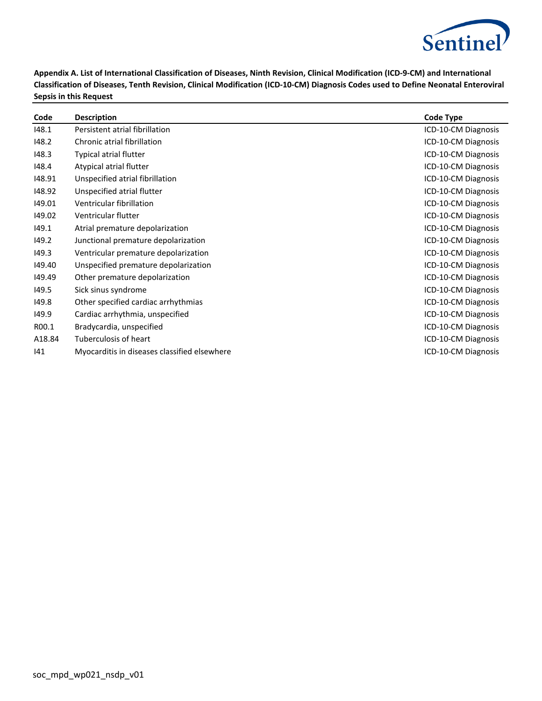

| Code   | <b>Description</b>                           | <b>Code Type</b>    |
|--------|----------------------------------------------|---------------------|
| 148.1  | Persistent atrial fibrillation               | ICD-10-CM Diagnosis |
| 148.2  | Chronic atrial fibrillation                  | ICD-10-CM Diagnosis |
| 148.3  | Typical atrial flutter                       | ICD-10-CM Diagnosis |
| 148.4  | Atypical atrial flutter                      | ICD-10-CM Diagnosis |
| 148.91 | Unspecified atrial fibrillation              | ICD-10-CM Diagnosis |
| 148.92 | Unspecified atrial flutter                   | ICD-10-CM Diagnosis |
| 149.01 | Ventricular fibrillation                     | ICD-10-CM Diagnosis |
| 149.02 | Ventricular flutter                          | ICD-10-CM Diagnosis |
| 149.1  | Atrial premature depolarization              | ICD-10-CM Diagnosis |
| 149.2  | Junctional premature depolarization          | ICD-10-CM Diagnosis |
| 149.3  | Ventricular premature depolarization         | ICD-10-CM Diagnosis |
| 149.40 | Unspecified premature depolarization         | ICD-10-CM Diagnosis |
| 149.49 | Other premature depolarization               | ICD-10-CM Diagnosis |
| 149.5  | Sick sinus syndrome                          | ICD-10-CM Diagnosis |
| 149.8  | Other specified cardiac arrhythmias          | ICD-10-CM Diagnosis |
| 149.9  | Cardiac arrhythmia, unspecified              | ICD-10-CM Diagnosis |
| R00.1  | Bradycardia, unspecified                     | ICD-10-CM Diagnosis |
| A18.84 | Tuberculosis of heart                        | ICD-10-CM Diagnosis |
| 141    | Myocarditis in diseases classified elsewhere | ICD-10-CM Diagnosis |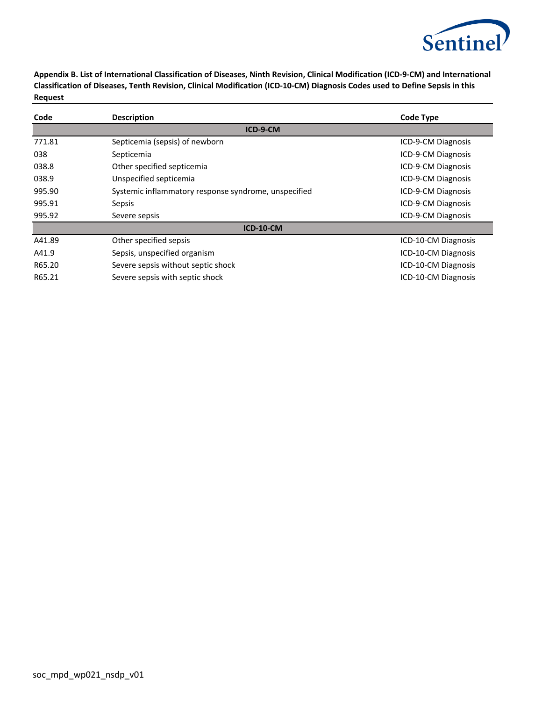

| Code   | <b>Description</b>                                   | <b>Code Type</b>    |  |
|--------|------------------------------------------------------|---------------------|--|
|        | ICD-9-CM                                             |                     |  |
| 771.81 | Septicemia (sepsis) of newborn                       | ICD-9-CM Diagnosis  |  |
| 038    | Septicemia                                           | ICD-9-CM Diagnosis  |  |
| 038.8  | Other specified septicemia                           | ICD-9-CM Diagnosis  |  |
| 038.9  | Unspecified septicemia                               | ICD-9-CM Diagnosis  |  |
| 995.90 | Systemic inflammatory response syndrome, unspecified | ICD-9-CM Diagnosis  |  |
| 995.91 | Sepsis                                               | ICD-9-CM Diagnosis  |  |
| 995.92 | Severe sepsis                                        | ICD-9-CM Diagnosis  |  |
|        | <b>ICD-10-CM</b>                                     |                     |  |
| A41.89 | Other specified sepsis                               | ICD-10-CM Diagnosis |  |
| A41.9  | Sepsis, unspecified organism                         | ICD-10-CM Diagnosis |  |
| R65.20 | Severe sepsis without septic shock                   | ICD-10-CM Diagnosis |  |
| R65.21 | Severe sepsis with septic shock                      | ICD-10-CM Diagnosis |  |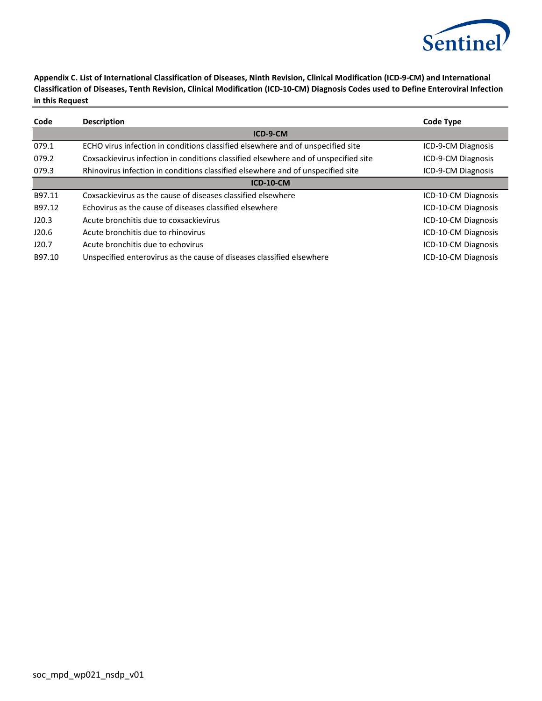

| Code             | <b>Description</b>                                                                  | Code Type           |
|------------------|-------------------------------------------------------------------------------------|---------------------|
|                  | ICD-9-CM                                                                            |                     |
| 079.1            | ECHO virus infection in conditions classified elsewhere and of unspecified site     | ICD-9-CM Diagnosis  |
| 079.2            | Coxsackievirus infection in conditions classified elsewhere and of unspecified site | ICD-9-CM Diagnosis  |
| 079.3            | Rhinovirus infection in conditions classified elsewhere and of unspecified site     | ICD-9-CM Diagnosis  |
| <b>ICD-10-CM</b> |                                                                                     |                     |
| B97.11           | Coxsackievirus as the cause of diseases classified elsewhere                        | ICD-10-CM Diagnosis |
| B97.12           | Echovirus as the cause of diseases classified elsewhere                             | ICD-10-CM Diagnosis |
| J20.3            | Acute bronchitis due to coxsackievirus                                              | ICD-10-CM Diagnosis |
| J20.6            | Acute bronchitis due to rhinovirus                                                  | ICD-10-CM Diagnosis |
| J20.7            | Acute bronchitis due to echovirus                                                   | ICD-10-CM Diagnosis |
| B97.10           | Unspecified enterovirus as the cause of diseases classified elsewhere               | ICD-10-CM Diagnosis |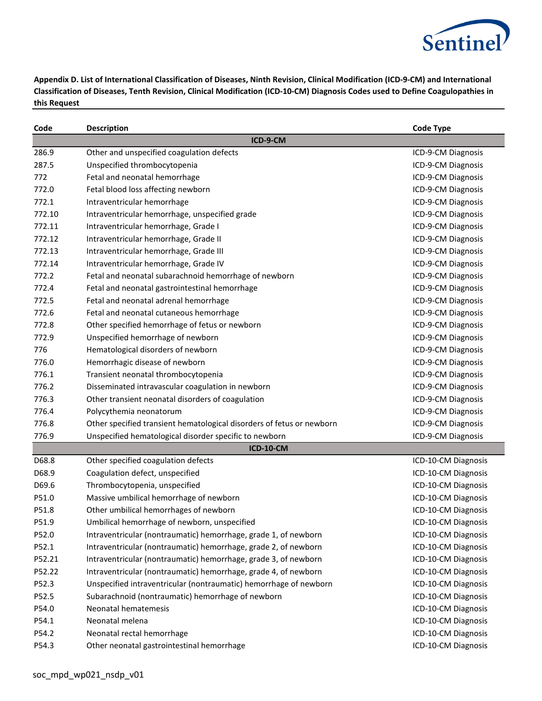

| Code   | <b>Description</b>                                                    | <b>Code Type</b>    |
|--------|-----------------------------------------------------------------------|---------------------|
|        | ICD-9-CM                                                              |                     |
| 286.9  | Other and unspecified coagulation defects                             | ICD-9-CM Diagnosis  |
| 287.5  | Unspecified thrombocytopenia                                          | ICD-9-CM Diagnosis  |
| 772    | Fetal and neonatal hemorrhage                                         | ICD-9-CM Diagnosis  |
| 772.0  | Fetal blood loss affecting newborn                                    | ICD-9-CM Diagnosis  |
| 772.1  | Intraventricular hemorrhage                                           | ICD-9-CM Diagnosis  |
| 772.10 | Intraventricular hemorrhage, unspecified grade                        | ICD-9-CM Diagnosis  |
| 772.11 | Intraventricular hemorrhage, Grade I                                  | ICD-9-CM Diagnosis  |
| 772.12 | Intraventricular hemorrhage, Grade II                                 | ICD-9-CM Diagnosis  |
| 772.13 | Intraventricular hemorrhage, Grade III                                | ICD-9-CM Diagnosis  |
| 772.14 | Intraventricular hemorrhage, Grade IV                                 | ICD-9-CM Diagnosis  |
| 772.2  | Fetal and neonatal subarachnoid hemorrhage of newborn                 | ICD-9-CM Diagnosis  |
| 772.4  | Fetal and neonatal gastrointestinal hemorrhage                        | ICD-9-CM Diagnosis  |
| 772.5  | Fetal and neonatal adrenal hemorrhage                                 | ICD-9-CM Diagnosis  |
| 772.6  | Fetal and neonatal cutaneous hemorrhage                               | ICD-9-CM Diagnosis  |
| 772.8  | Other specified hemorrhage of fetus or newborn                        | ICD-9-CM Diagnosis  |
| 772.9  | Unspecified hemorrhage of newborn                                     | ICD-9-CM Diagnosis  |
| 776    | Hematological disorders of newborn                                    | ICD-9-CM Diagnosis  |
| 776.0  | Hemorrhagic disease of newborn                                        | ICD-9-CM Diagnosis  |
| 776.1  | Transient neonatal thrombocytopenia                                   | ICD-9-CM Diagnosis  |
| 776.2  | Disseminated intravascular coagulation in newborn                     | ICD-9-CM Diagnosis  |
| 776.3  | Other transient neonatal disorders of coagulation                     | ICD-9-CM Diagnosis  |
| 776.4  | Polycythemia neonatorum                                               | ICD-9-CM Diagnosis  |
| 776.8  | Other specified transient hematological disorders of fetus or newborn | ICD-9-CM Diagnosis  |
| 776.9  | Unspecified hematological disorder specific to newborn                | ICD-9-CM Diagnosis  |
|        | <b>ICD-10-CM</b>                                                      |                     |
| D68.8  | Other specified coagulation defects                                   | ICD-10-CM Diagnosis |
| D68.9  | Coagulation defect, unspecified                                       | ICD-10-CM Diagnosis |
| D69.6  | Thrombocytopenia, unspecified                                         | ICD-10-CM Diagnosis |
| P51.0  | Massive umbilical hemorrhage of newborn                               | ICD-10-CM Diagnosis |
| P51.8  | Other umbilical hemorrhages of newborn                                | ICD-10-CM Diagnosis |
| P51.9  | Umbilical hemorrhage of newborn, unspecified                          | ICD-10-CM Diagnosis |
| P52.0  | Intraventricular (nontraumatic) hemorrhage, grade 1, of newborn       | ICD-10-CM Diagnosis |
| P52.1  | Intraventricular (nontraumatic) hemorrhage, grade 2, of newborn       | ICD-10-CM Diagnosis |
| P52.21 | Intraventricular (nontraumatic) hemorrhage, grade 3, of newborn       | ICD-10-CM Diagnosis |
| P52.22 | Intraventricular (nontraumatic) hemorrhage, grade 4, of newborn       | ICD-10-CM Diagnosis |
| P52.3  | Unspecified intraventricular (nontraumatic) hemorrhage of newborn     | ICD-10-CM Diagnosis |
| P52.5  | Subarachnoid (nontraumatic) hemorrhage of newborn                     | ICD-10-CM Diagnosis |
| P54.0  | Neonatal hematemesis                                                  | ICD-10-CM Diagnosis |
| P54.1  | Neonatal melena                                                       | ICD-10-CM Diagnosis |
| P54.2  | Neonatal rectal hemorrhage                                            | ICD-10-CM Diagnosis |
| P54.3  | Other neonatal gastrointestinal hemorrhage                            | ICD-10-CM Diagnosis |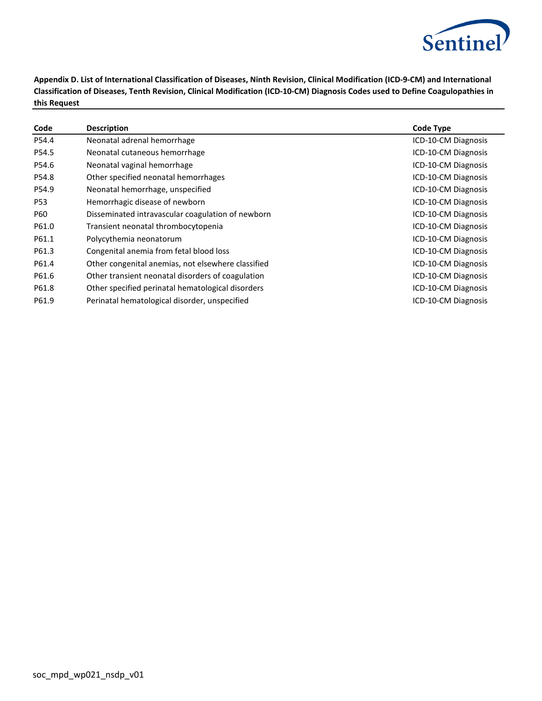

| Code       | <b>Description</b>                                 | Code Type           |
|------------|----------------------------------------------------|---------------------|
| P54.4      | Neonatal adrenal hemorrhage                        | ICD-10-CM Diagnosis |
| P54.5      | Neonatal cutaneous hemorrhage                      | ICD-10-CM Diagnosis |
| P54.6      | Neonatal vaginal hemorrhage                        | ICD-10-CM Diagnosis |
| P54.8      | Other specified neonatal hemorrhages               | ICD-10-CM Diagnosis |
| P54.9      | Neonatal hemorrhage, unspecified                   | ICD-10-CM Diagnosis |
| <b>P53</b> | Hemorrhagic disease of newborn                     | ICD-10-CM Diagnosis |
| P60        | Disseminated intravascular coagulation of newborn  | ICD-10-CM Diagnosis |
| P61.0      | Transient neonatal thrombocytopenia                | ICD-10-CM Diagnosis |
| P61.1      | Polycythemia neonatorum                            | ICD-10-CM Diagnosis |
| P61.3      | Congenital anemia from fetal blood loss            | ICD-10-CM Diagnosis |
| P61.4      | Other congenital anemias, not elsewhere classified | ICD-10-CM Diagnosis |
| P61.6      | Other transient neonatal disorders of coagulation  | ICD-10-CM Diagnosis |
| P61.8      | Other specified perinatal hematological disorders  | ICD-10-CM Diagnosis |
| P61.9      | Perinatal hematological disorder, unspecified      | ICD-10-CM Diagnosis |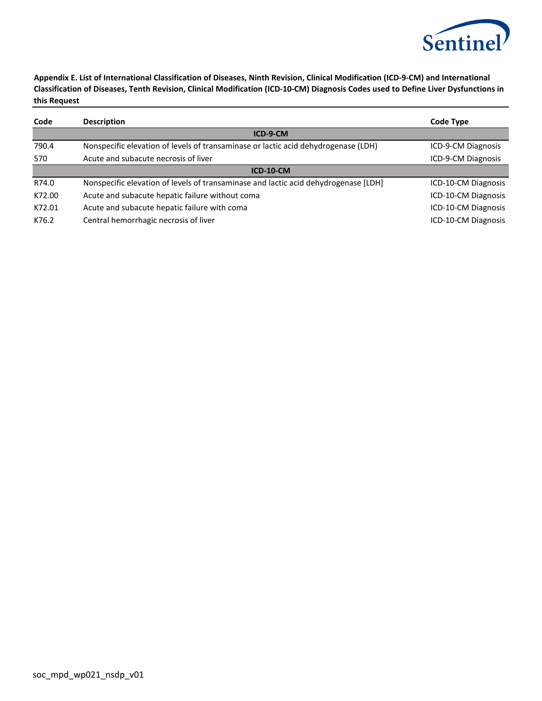

| Code     | <b>Description</b>                                                                  | Code Type           |  |
|----------|-------------------------------------------------------------------------------------|---------------------|--|
| ICD-9-CM |                                                                                     |                     |  |
| 790.4    | Nonspecific elevation of levels of transaminase or lactic acid dehydrogenase (LDH)  | ICD-9-CM Diagnosis  |  |
| 570      | Acute and subacute necrosis of liver                                                | ICD-9-CM Diagnosis  |  |
|          | $ICD-10-CM$                                                                         |                     |  |
| R74.0    | Nonspecific elevation of levels of transaminase and lactic acid dehydrogenase [LDH] | ICD-10-CM Diagnosis |  |
| K72.00   | Acute and subacute hepatic failure without coma                                     | ICD-10-CM Diagnosis |  |
| K72.01   | Acute and subacute hepatic failure with coma                                        | ICD-10-CM Diagnosis |  |
| K76.2    | Central hemorrhagic necrosis of liver                                               | ICD-10-CM Diagnosis |  |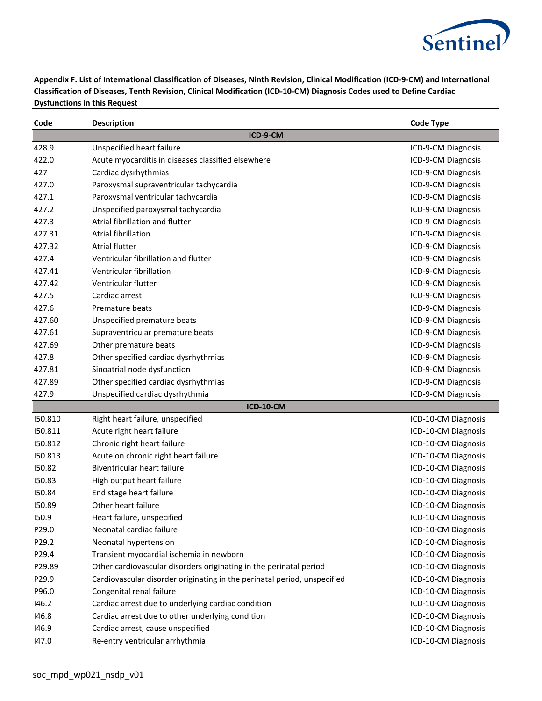

| Code    | <b>Description</b>                                                       | <b>Code Type</b>    |
|---------|--------------------------------------------------------------------------|---------------------|
|         | ICD-9-CM                                                                 |                     |
| 428.9   | Unspecified heart failure                                                | ICD-9-CM Diagnosis  |
| 422.0   | Acute myocarditis in diseases classified elsewhere                       | ICD-9-CM Diagnosis  |
| 427     | Cardiac dysrhythmias                                                     | ICD-9-CM Diagnosis  |
| 427.0   | Paroxysmal supraventricular tachycardia                                  | ICD-9-CM Diagnosis  |
| 427.1   | Paroxysmal ventricular tachycardia                                       | ICD-9-CM Diagnosis  |
| 427.2   | Unspecified paroxysmal tachycardia                                       | ICD-9-CM Diagnosis  |
| 427.3   | Atrial fibrillation and flutter                                          | ICD-9-CM Diagnosis  |
| 427.31  | <b>Atrial fibrillation</b>                                               | ICD-9-CM Diagnosis  |
| 427.32  | <b>Atrial flutter</b>                                                    | ICD-9-CM Diagnosis  |
| 427.4   | Ventricular fibrillation and flutter                                     | ICD-9-CM Diagnosis  |
| 427.41  | Ventricular fibrillation                                                 | ICD-9-CM Diagnosis  |
| 427.42  | Ventricular flutter                                                      | ICD-9-CM Diagnosis  |
| 427.5   | Cardiac arrest                                                           | ICD-9-CM Diagnosis  |
| 427.6   | Premature beats                                                          | ICD-9-CM Diagnosis  |
| 427.60  | Unspecified premature beats                                              | ICD-9-CM Diagnosis  |
| 427.61  | Supraventricular premature beats                                         | ICD-9-CM Diagnosis  |
| 427.69  | Other premature beats                                                    | ICD-9-CM Diagnosis  |
| 427.8   | Other specified cardiac dysrhythmias                                     | ICD-9-CM Diagnosis  |
| 427.81  | Sinoatrial node dysfunction                                              | ICD-9-CM Diagnosis  |
| 427.89  | Other specified cardiac dysrhythmias                                     | ICD-9-CM Diagnosis  |
| 427.9   | Unspecified cardiac dysrhythmia                                          | ICD-9-CM Diagnosis  |
|         | <b>ICD-10-CM</b>                                                         |                     |
| 150.810 | Right heart failure, unspecified                                         | ICD-10-CM Diagnosis |
| 150.811 | Acute right heart failure                                                | ICD-10-CM Diagnosis |
| 150.812 | Chronic right heart failure                                              | ICD-10-CM Diagnosis |
| 150.813 | Acute on chronic right heart failure                                     | ICD-10-CM Diagnosis |
| 150.82  | Biventricular heart failure                                              | ICD-10-CM Diagnosis |
| 150.83  | High output heart failure                                                | ICD-10-CM Diagnosis |
| 150.84  | End stage heart failure                                                  | ICD-10-CM Diagnosis |
| 150.89  | Other heart failure                                                      | ICD-10-CM Diagnosis |
| 150.9   | Heart failure, unspecified                                               | ICD-10-CM Diagnosis |
| P29.0   | Neonatal cardiac failure                                                 | ICD-10-CM Diagnosis |
| P29.2   | Neonatal hypertension                                                    | ICD-10-CM Diagnosis |
| P29.4   | Transient myocardial ischemia in newborn                                 | ICD-10-CM Diagnosis |
| P29.89  | Other cardiovascular disorders originating in the perinatal period       | ICD-10-CM Diagnosis |
| P29.9   | Cardiovascular disorder originating in the perinatal period, unspecified | ICD-10-CM Diagnosis |
| P96.0   | Congenital renal failure                                                 | ICD-10-CM Diagnosis |
| 146.2   | Cardiac arrest due to underlying cardiac condition                       | ICD-10-CM Diagnosis |
| 146.8   | Cardiac arrest due to other underlying condition                         | ICD-10-CM Diagnosis |
| 146.9   | Cardiac arrest, cause unspecified                                        | ICD-10-CM Diagnosis |
| 147.0   | Re-entry ventricular arrhythmia                                          | ICD-10-CM Diagnosis |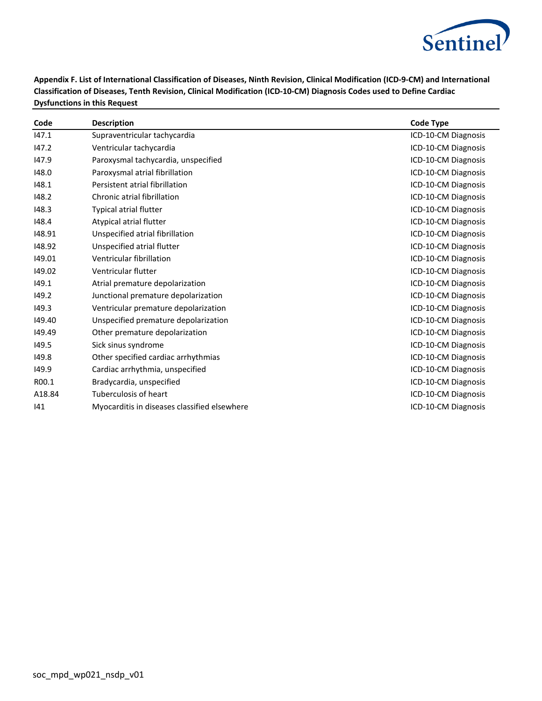

| Code   | <b>Description</b>                           | <b>Code Type</b>    |
|--------|----------------------------------------------|---------------------|
| 147.1  | Supraventricular tachycardia                 | ICD-10-CM Diagnosis |
| 147.2  | Ventricular tachycardia                      | ICD-10-CM Diagnosis |
| 147.9  | Paroxysmal tachycardia, unspecified          | ICD-10-CM Diagnosis |
| 148.0  | Paroxysmal atrial fibrillation               | ICD-10-CM Diagnosis |
| 148.1  | Persistent atrial fibrillation               | ICD-10-CM Diagnosis |
| 148.2  | Chronic atrial fibrillation                  | ICD-10-CM Diagnosis |
| 148.3  | <b>Typical atrial flutter</b>                | ICD-10-CM Diagnosis |
| 148.4  | Atypical atrial flutter                      | ICD-10-CM Diagnosis |
| 148.91 | Unspecified atrial fibrillation              | ICD-10-CM Diagnosis |
| 148.92 | Unspecified atrial flutter                   | ICD-10-CM Diagnosis |
| 149.01 | Ventricular fibrillation                     | ICD-10-CM Diagnosis |
| 149.02 | Ventricular flutter                          | ICD-10-CM Diagnosis |
| 149.1  | Atrial premature depolarization              | ICD-10-CM Diagnosis |
| 149.2  | Junctional premature depolarization          | ICD-10-CM Diagnosis |
| 149.3  | Ventricular premature depolarization         | ICD-10-CM Diagnosis |
| 149.40 | Unspecified premature depolarization         | ICD-10-CM Diagnosis |
| 149.49 | Other premature depolarization               | ICD-10-CM Diagnosis |
| 149.5  | Sick sinus syndrome                          | ICD-10-CM Diagnosis |
| 149.8  | Other specified cardiac arrhythmias          | ICD-10-CM Diagnosis |
| 149.9  | Cardiac arrhythmia, unspecified              | ICD-10-CM Diagnosis |
| R00.1  | Bradycardia, unspecified                     | ICD-10-CM Diagnosis |
| A18.84 | Tuberculosis of heart                        | ICD-10-CM Diagnosis |
| 141    | Myocarditis in diseases classified elsewhere | ICD-10-CM Diagnosis |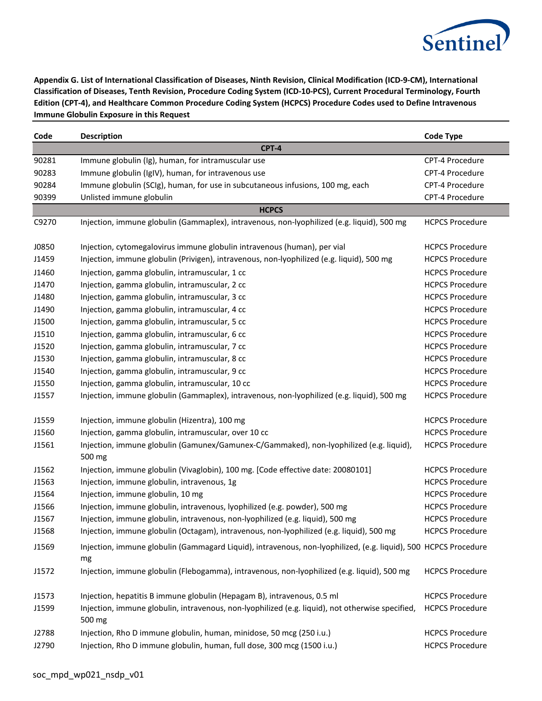

**Appendix G. List of International Classification of Diseases, Ninth Revision, Clinical Modification (ICD-9-CM), International Classification of Diseases, Tenth Revision, Procedure Coding System (ICD-10-PCS), Current Procedural Terminology, Fourth Edition (CPT-4), and Healthcare Common Procedure Coding System (HCPCS) Procedure Codes used to Define Intravenous Immune Globulin Exposure in this Request**

| Code  | <b>Description</b>                                                                                                    | <b>Code Type</b>       |
|-------|-----------------------------------------------------------------------------------------------------------------------|------------------------|
|       | <b>CPT-4</b>                                                                                                          |                        |
| 90281 | Immune globulin (Ig), human, for intramuscular use                                                                    | CPT-4 Procedure        |
| 90283 | Immune globulin (IgIV), human, for intravenous use                                                                    | CPT-4 Procedure        |
| 90284 | Immune globulin (SCIg), human, for use in subcutaneous infusions, 100 mg, each                                        | CPT-4 Procedure        |
| 90399 | Unlisted immune globulin                                                                                              | CPT-4 Procedure        |
|       | <b>HCPCS</b>                                                                                                          |                        |
| C9270 | Injection, immune globulin (Gammaplex), intravenous, non-lyophilized (e.g. liquid), 500 mg                            | <b>HCPCS Procedure</b> |
| J0850 | Injection, cytomegalovirus immune globulin intravenous (human), per vial                                              | <b>HCPCS Procedure</b> |
| J1459 | Injection, immune globulin (Privigen), intravenous, non-lyophilized (e.g. liquid), 500 mg                             | <b>HCPCS Procedure</b> |
| J1460 | Injection, gamma globulin, intramuscular, 1 cc                                                                        | <b>HCPCS Procedure</b> |
| J1470 | Injection, gamma globulin, intramuscular, 2 cc                                                                        | <b>HCPCS Procedure</b> |
| J1480 | Injection, gamma globulin, intramuscular, 3 cc                                                                        | <b>HCPCS Procedure</b> |
| J1490 | Injection, gamma globulin, intramuscular, 4 cc                                                                        | <b>HCPCS Procedure</b> |
| J1500 | Injection, gamma globulin, intramuscular, 5 cc                                                                        | <b>HCPCS Procedure</b> |
| J1510 | Injection, gamma globulin, intramuscular, 6 cc                                                                        | <b>HCPCS Procedure</b> |
| J1520 | Injection, gamma globulin, intramuscular, 7 cc                                                                        | <b>HCPCS Procedure</b> |
| J1530 | Injection, gamma globulin, intramuscular, 8 cc                                                                        | <b>HCPCS Procedure</b> |
| J1540 | Injection, gamma globulin, intramuscular, 9 cc                                                                        | <b>HCPCS Procedure</b> |
| J1550 | Injection, gamma globulin, intramuscular, 10 cc                                                                       | <b>HCPCS Procedure</b> |
| J1557 | Injection, immune globulin (Gammaplex), intravenous, non-lyophilized (e.g. liquid), 500 mg                            | <b>HCPCS Procedure</b> |
| J1559 | Injection, immune globulin (Hizentra), 100 mg                                                                         | <b>HCPCS Procedure</b> |
| J1560 | Injection, gamma globulin, intramuscular, over 10 cc                                                                  | <b>HCPCS Procedure</b> |
| J1561 | Injection, immune globulin (Gamunex/Gamunex-C/Gammaked), non-lyophilized (e.g. liquid),<br>500 mg                     | <b>HCPCS Procedure</b> |
| J1562 | Injection, immune globulin (Vivaglobin), 100 mg. [Code effective date: 20080101]                                      | <b>HCPCS Procedure</b> |
| J1563 | Injection, immune globulin, intravenous, 1g                                                                           | <b>HCPCS Procedure</b> |
| J1564 | Injection, immune globulin, 10 mg                                                                                     | <b>HCPCS Procedure</b> |
| J1566 | Injection, immune globulin, intravenous, lyophilized (e.g. powder), 500 mg                                            | <b>HCPCS Procedure</b> |
| J1567 | Injection, immune globulin, intravenous, non-lyophilized (e.g. liquid), 500 mg                                        | <b>HCPCS Procedure</b> |
| J1568 | Injection, immune globulin (Octagam), intravenous, non-lyophilized (e.g. liquid), 500 mg                              | <b>HCPCS Procedure</b> |
| J1569 | Injection, immune globulin (Gammagard Liquid), intravenous, non-lyophilized, (e.g. liquid), 500 HCPCS Procedure<br>mg |                        |
| J1572 | Injection, immune globulin (Flebogamma), intravenous, non-lyophilized (e.g. liquid), 500 mg                           | <b>HCPCS Procedure</b> |
| J1573 | Injection, hepatitis B immune globulin (Hepagam B), intravenous, 0.5 ml                                               | <b>HCPCS Procedure</b> |
| J1599 | Injection, immune globulin, intravenous, non-lyophilized (e.g. liquid), not otherwise specified,<br>500 mg            | <b>HCPCS Procedure</b> |
| J2788 | Injection, Rho D immune globulin, human, minidose, 50 mcg (250 i.u.)                                                  | <b>HCPCS Procedure</b> |
| J2790 | Injection, Rho D immune globulin, human, full dose, 300 mcg (1500 i.u.)                                               | <b>HCPCS Procedure</b> |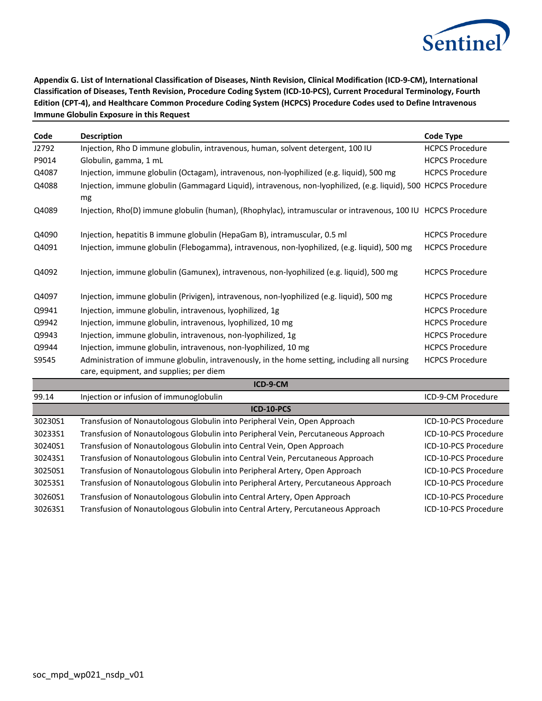

**Appendix G. List of International Classification of Diseases, Ninth Revision, Clinical Modification (ICD-9-CM), International Classification of Diseases, Tenth Revision, Procedure Coding System (ICD-10-PCS), Current Procedural Terminology, Fourth Edition (CPT-4), and Healthcare Common Procedure Coding System (HCPCS) Procedure Codes used to Define Intravenous Immune Globulin Exposure in this Request**

| Code    | <b>Description</b>                                                                                                                      | <b>Code Type</b>       |
|---------|-----------------------------------------------------------------------------------------------------------------------------------------|------------------------|
| J2792   | Injection, Rho D immune globulin, intravenous, human, solvent detergent, 100 IU                                                         | <b>HCPCS Procedure</b> |
| P9014   | Globulin, gamma, 1 mL                                                                                                                   | <b>HCPCS Procedure</b> |
| Q4087   | Injection, immune globulin (Octagam), intravenous, non-lyophilized (e.g. liquid), 500 mg                                                | <b>HCPCS Procedure</b> |
| Q4088   | Injection, immune globulin (Gammagard Liquid), intravenous, non-lyophilized, (e.g. liquid), 500 HCPCS Procedure<br>mg                   |                        |
| Q4089   | Injection, Rho(D) immune globulin (human), (Rhophylac), intramuscular or intravenous, 100 IU HCPCS Procedure                            |                        |
| Q4090   | Injection, hepatitis B immune globulin (HepaGam B), intramuscular, 0.5 ml                                                               | <b>HCPCS Procedure</b> |
| Q4091   | Injection, immune globulin (Flebogamma), intravenous, non-lyophilized, (e.g. liquid), 500 mg                                            | <b>HCPCS Procedure</b> |
| Q4092   | Injection, immune globulin (Gamunex), intravenous, non-lyophilized (e.g. liquid), 500 mg                                                | <b>HCPCS Procedure</b> |
| Q4097   | Injection, immune globulin (Privigen), intravenous, non-lyophilized (e.g. liquid), 500 mg                                               | <b>HCPCS Procedure</b> |
| Q9941   | Injection, immune globulin, intravenous, lyophilized, 1g                                                                                | <b>HCPCS Procedure</b> |
| Q9942   | Injection, immune globulin, intravenous, lyophilized, 10 mg                                                                             | <b>HCPCS Procedure</b> |
| Q9943   | Injection, immune globulin, intravenous, non-lyophilized, 1g                                                                            | <b>HCPCS Procedure</b> |
| Q9944   | Injection, immune globulin, intravenous, non-lyophilized, 10 mg                                                                         | <b>HCPCS Procedure</b> |
| S9545   | Administration of immune globulin, intravenously, in the home setting, including all nursing<br>care, equipment, and supplies; per diem | <b>HCPCS Procedure</b> |
|         | ICD-9-CM                                                                                                                                |                        |
| 99.14   | Injection or infusion of immunoglobulin                                                                                                 | ICD-9-CM Procedure     |
|         | ICD-10-PCS                                                                                                                              |                        |
| 30230S1 | Transfusion of Nonautologous Globulin into Peripheral Vein, Open Approach                                                               | ICD-10-PCS Procedure   |
| 30233S1 | Transfusion of Nonautologous Globulin into Peripheral Vein, Percutaneous Approach                                                       | ICD-10-PCS Procedure   |
| 30240S1 | Transfusion of Nonautologous Globulin into Central Vein, Open Approach                                                                  | ICD-10-PCS Procedure   |
| 30243S1 | Transfusion of Nonautologous Globulin into Central Vein, Percutaneous Approach                                                          | ICD-10-PCS Procedure   |
| 30250S1 | Transfusion of Nonautologous Globulin into Peripheral Artery, Open Approach                                                             | ICD-10-PCS Procedure   |
| 30253S1 | Transfusion of Nonautologous Globulin into Peripheral Artery, Percutaneous Approach                                                     | ICD-10-PCS Procedure   |

30260S1 Transfusion of Nonautologous Globulin into Central Artery, Open Approach ICD-10-PCS Procedure 30263S1 Transfusion of Nonautologous Globulin into Central Artery, Percutaneous Approach ICD-10-PCS Procedure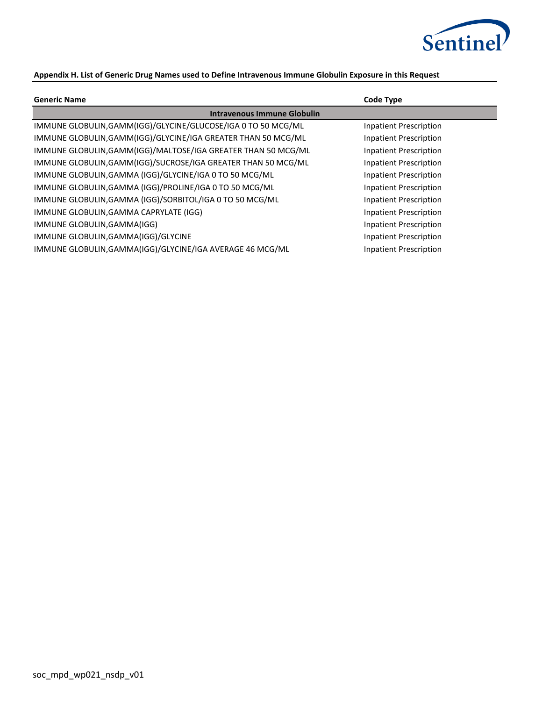

# **Appendix H. List of Generic Drug Names used to Define Intravenous Immune Globulin Exposure in this Request**

| <b>Generic Name</b>                                           | Code Type                     |
|---------------------------------------------------------------|-------------------------------|
| <b>Intravenous Immune Globulin</b>                            |                               |
| IMMUNE GLOBULIN, GAMM(IGG)/GLYCINE/GLUCOSE/IGA 0 TO 50 MCG/ML | Inpatient Prescription        |
| IMMUNE GLOBULIN, GAMM(IGG)/GLYCINE/IGA GREATER THAN 50 MCG/ML | Inpatient Prescription        |
| IMMUNE GLOBULIN, GAMM(IGG)/MALTOSE/IGA GREATER THAN 50 MCG/ML | Inpatient Prescription        |
| IMMUNE GLOBULIN, GAMM(IGG)/SUCROSE/IGA GREATER THAN 50 MCG/ML | Inpatient Prescription        |
| IMMUNE GLOBULIN, GAMMA (IGG)/GLYCINE/IGA 0 TO 50 MCG/ML       | Inpatient Prescription        |
| IMMUNE GLOBULIN, GAMMA (IGG)/PROLINE/IGA 0 TO 50 MCG/ML       | Inpatient Prescription        |
| IMMUNE GLOBULIN, GAMMA (IGG)/SORBITOL/IGA 0 TO 50 MCG/ML      | Inpatient Prescription        |
| IMMUNE GLOBULIN, GAMMA CAPRYLATE (IGG)                        | Inpatient Prescription        |
| IMMUNE GLOBULIN, GAMMA(IGG)                                   | Inpatient Prescription        |
| IMMUNE GLOBULIN, GAMMA(IGG)/GLYCINE                           | Inpatient Prescription        |
| IMMUNE GLOBULIN, GAMMA(IGG)/GLYCINE/IGA AVERAGE 46 MCG/ML     | <b>Inpatient Prescription</b> |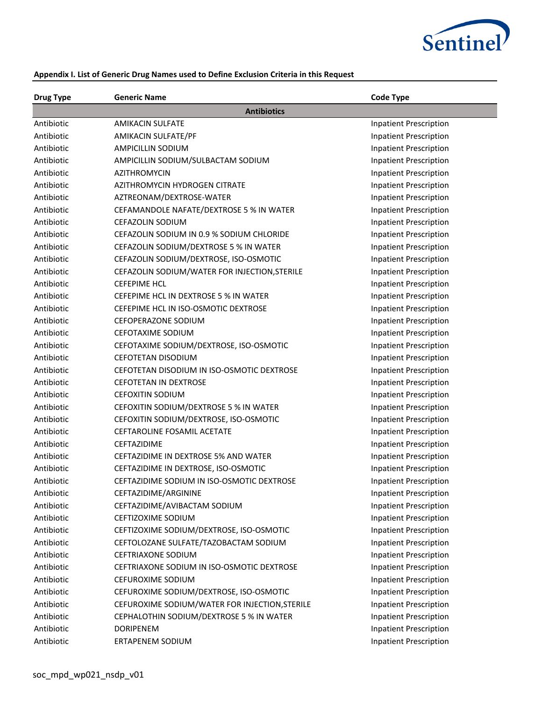

| <b>Drug Type</b> | <b>Generic Name</b>                            | <b>Code Type</b>              |
|------------------|------------------------------------------------|-------------------------------|
|                  | <b>Antibiotics</b>                             |                               |
| Antibiotic       | <b>AMIKACIN SULFATE</b>                        | Inpatient Prescription        |
| Antibiotic       | AMIKACIN SULFATE/PF                            | <b>Inpatient Prescription</b> |
| Antibiotic       | AMPICILLIN SODIUM                              | <b>Inpatient Prescription</b> |
| Antibiotic       | AMPICILLIN SODIUM/SULBACTAM SODIUM             | <b>Inpatient Prescription</b> |
| Antibiotic       | AZITHROMYCIN                                   | <b>Inpatient Prescription</b> |
| Antibiotic       | AZITHROMYCIN HYDROGEN CITRATE                  | <b>Inpatient Prescription</b> |
| Antibiotic       | AZTREONAM/DEXTROSE-WATER                       | <b>Inpatient Prescription</b> |
| Antibiotic       | CEFAMANDOLE NAFATE/DEXTROSE 5 % IN WATER       | <b>Inpatient Prescription</b> |
| Antibiotic       | CEFAZOLIN SODIUM                               | <b>Inpatient Prescription</b> |
| Antibiotic       | CEFAZOLIN SODIUM IN 0.9 % SODIUM CHLORIDE      | <b>Inpatient Prescription</b> |
| Antibiotic       | CEFAZOLIN SODIUM/DEXTROSE 5 % IN WATER         | <b>Inpatient Prescription</b> |
| Antibiotic       | CEFAZOLIN SODIUM/DEXTROSE, ISO-OSMOTIC         | <b>Inpatient Prescription</b> |
| Antibiotic       | CEFAZOLIN SODIUM/WATER FOR INJECTION, STERILE  | <b>Inpatient Prescription</b> |
| Antibiotic       | <b>CEFEPIME HCL</b>                            | <b>Inpatient Prescription</b> |
| Antibiotic       | CEFEPIME HCL IN DEXTROSE 5 % IN WATER          | <b>Inpatient Prescription</b> |
| Antibiotic       | CEFEPIME HCL IN ISO-OSMOTIC DEXTROSE           | <b>Inpatient Prescription</b> |
| Antibiotic       | CEFOPERAZONE SODIUM                            | <b>Inpatient Prescription</b> |
| Antibiotic       | <b>CEFOTAXIME SODIUM</b>                       | <b>Inpatient Prescription</b> |
| Antibiotic       | CEFOTAXIME SODIUM/DEXTROSE, ISO-OSMOTIC        | <b>Inpatient Prescription</b> |
| Antibiotic       | <b>CEFOTETAN DISODIUM</b>                      | <b>Inpatient Prescription</b> |
| Antibiotic       | CEFOTETAN DISODIUM IN ISO-OSMOTIC DEXTROSE     | <b>Inpatient Prescription</b> |
| Antibiotic       | <b>CEFOTETAN IN DEXTROSE</b>                   | <b>Inpatient Prescription</b> |
| Antibiotic       | <b>CEFOXITIN SODIUM</b>                        | <b>Inpatient Prescription</b> |
| Antibiotic       | CEFOXITIN SODIUM/DEXTROSE 5 % IN WATER         | <b>Inpatient Prescription</b> |
| Antibiotic       | CEFOXITIN SODIUM/DEXTROSE, ISO-OSMOTIC         | <b>Inpatient Prescription</b> |
| Antibiotic       | <b>CEFTAROLINE FOSAMIL ACETATE</b>             | <b>Inpatient Prescription</b> |
| Antibiotic       | CEFTAZIDIME                                    | <b>Inpatient Prescription</b> |
| Antibiotic       | CEFTAZIDIME IN DEXTROSE 5% AND WATER           | <b>Inpatient Prescription</b> |
| Antibiotic       | CEFTAZIDIME IN DEXTROSE, ISO-OSMOTIC           | <b>Inpatient Prescription</b> |
| Antibiotic       | CEFTAZIDIME SODIUM IN ISO-OSMOTIC DEXTROSE     | <b>Inpatient Prescription</b> |
| Antibiotic       | CEFTAZIDIME/ARGININE                           | <b>Inpatient Prescription</b> |
| Antibiotic       | CEFTAZIDIME/AVIBACTAM SODIUM                   | <b>Inpatient Prescription</b> |
| Antibiotic       | CEFTIZOXIME SODIUM                             | <b>Inpatient Prescription</b> |
| Antibiotic       | CEFTIZOXIME SODIUM/DEXTROSE, ISO-OSMOTIC       | <b>Inpatient Prescription</b> |
| Antibiotic       | CEFTOLOZANE SULFATE/TAZOBACTAM SODIUM          | <b>Inpatient Prescription</b> |
| Antibiotic       | <b>CEFTRIAXONE SODIUM</b>                      | <b>Inpatient Prescription</b> |
| Antibiotic       | CEFTRIAXONE SODIUM IN ISO-OSMOTIC DEXTROSE     | <b>Inpatient Prescription</b> |
| Antibiotic       | CEFUROXIME SODIUM                              | <b>Inpatient Prescription</b> |
| Antibiotic       | CEFUROXIME SODIUM/DEXTROSE, ISO-OSMOTIC        | <b>Inpatient Prescription</b> |
| Antibiotic       | CEFUROXIME SODIUM/WATER FOR INJECTION, STERILE | <b>Inpatient Prescription</b> |
| Antibiotic       | CEPHALOTHIN SODIUM/DEXTROSE 5 % IN WATER       | <b>Inpatient Prescription</b> |
| Antibiotic       | <b>DORIPENEM</b>                               | <b>Inpatient Prescription</b> |
| Antibiotic       | ERTAPENEM SODIUM                               | <b>Inpatient Prescription</b> |

# **Appendix I. List of Generic Drug Names used to Define Exclusion Criteria in this Request**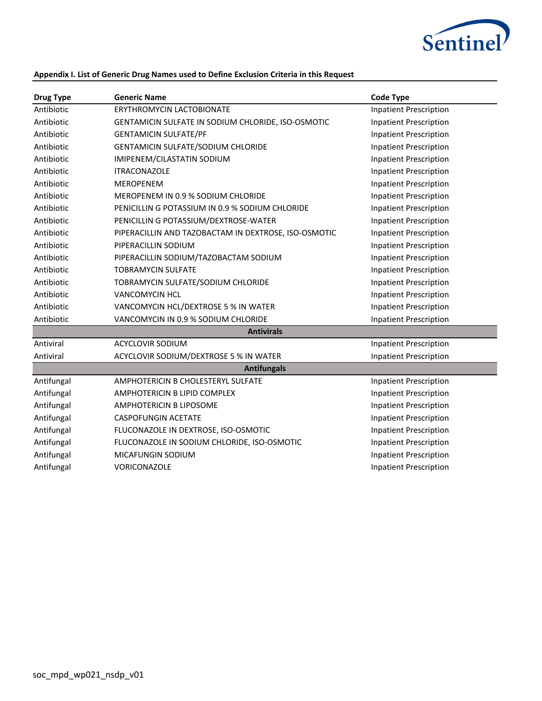

# **Appendix I. List of Generic Drug Names used to Define Exclusion Criteria in this Request**

| <b>Drug Type</b> | <b>Generic Name</b>                                  | <b>Code Type</b>              |
|------------------|------------------------------------------------------|-------------------------------|
| Antibiotic       | <b>ERYTHROMYCIN LACTOBIONATE</b>                     | <b>Inpatient Prescription</b> |
| Antibiotic       | GENTAMICIN SULFATE IN SODIUM CHLORIDE, ISO-OSMOTIC   | <b>Inpatient Prescription</b> |
| Antibiotic       | <b>GENTAMICIN SULFATE/PF</b>                         | <b>Inpatient Prescription</b> |
| Antibiotic       | GENTAMICIN SULFATE/SODIUM CHLORIDE                   | <b>Inpatient Prescription</b> |
| Antibiotic       | IMIPENEM/CILASTATIN SODIUM                           | Inpatient Prescription        |
| Antibiotic       | <b>ITRACONAZOLE</b>                                  | <b>Inpatient Prescription</b> |
| Antibiotic       | <b>MEROPENEM</b>                                     | <b>Inpatient Prescription</b> |
| Antibiotic       | MEROPENEM IN 0.9 % SODIUM CHLORIDE                   | <b>Inpatient Prescription</b> |
| Antibiotic       | PENICILLIN G POTASSIUM IN 0.9 % SODIUM CHLORIDE      | <b>Inpatient Prescription</b> |
| Antibiotic       | PENICILLIN G POTASSIUM/DEXTROSE-WATER                | <b>Inpatient Prescription</b> |
| Antibiotic       | PIPERACILLIN AND TAZOBACTAM IN DEXTROSE, ISO-OSMOTIC | <b>Inpatient Prescription</b> |
| Antibiotic       | PIPERACILLIN SODIUM                                  | <b>Inpatient Prescription</b> |
| Antibiotic       | PIPERACILLIN SODIUM/TAZOBACTAM SODIUM                | <b>Inpatient Prescription</b> |
| Antibiotic       | <b>TOBRAMYCIN SULFATE</b>                            | <b>Inpatient Prescription</b> |
| Antibiotic       | TOBRAMYCIN SULFATE/SODIUM CHLORIDE                   | <b>Inpatient Prescription</b> |
| Antibiotic       | <b>VANCOMYCIN HCL</b>                                | <b>Inpatient Prescription</b> |
| Antibiotic       | VANCOMYCIN HCL/DEXTROSE 5 % IN WATER                 | <b>Inpatient Prescription</b> |
| Antibiotic       | VANCOMYCIN IN 0.9 % SODIUM CHLORIDE                  | <b>Inpatient Prescription</b> |
|                  | <b>Antivirals</b>                                    |                               |
| Antiviral        | <b>ACYCLOVIR SODIUM</b>                              | <b>Inpatient Prescription</b> |
| Antiviral        | ACYCLOVIR SODIUM/DEXTROSE 5 % IN WATER               | <b>Inpatient Prescription</b> |
|                  | <b>Antifungals</b>                                   |                               |
| Antifungal       | AMPHOTERICIN B CHOLESTERYL SULFATE                   | <b>Inpatient Prescription</b> |
| Antifungal       | AMPHOTERICIN B LIPID COMPLEX                         | <b>Inpatient Prescription</b> |
| Antifungal       | AMPHOTERICIN B LIPOSOME                              | <b>Inpatient Prescription</b> |
| Antifungal       | <b>CASPOFUNGIN ACETATE</b>                           | <b>Inpatient Prescription</b> |
| Antifungal       | FLUCONAZOLE IN DEXTROSE, ISO-OSMOTIC                 | <b>Inpatient Prescription</b> |
| Antifungal       | FLUCONAZOLE IN SODIUM CHLORIDE, ISO-OSMOTIC          | <b>Inpatient Prescription</b> |
| Antifungal       | <b>MICAFUNGIN SODIUM</b>                             | <b>Inpatient Prescription</b> |
| Antifungal       | VORICONAZOLE                                         | <b>Inpatient Prescription</b> |